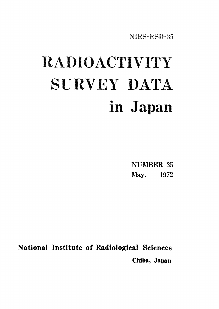NIRS-RSD-35

# RADIOACTIVITY SURVEY DATA in Japan

**NUMBER 35** May. 1972

National Institute of Radiological Sciences Chiba, Japan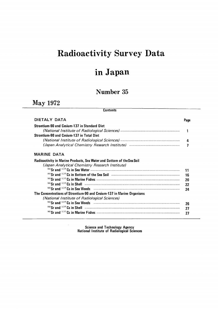# Radioactivity Survey Data

## inJapan

### Number 35

### May1972

### **Contents**

| DIETALY DATA                                                           | Page |
|------------------------------------------------------------------------|------|
| <b>Strontium-90 and Cesium-137 in Standard Diet</b>                    |      |
|                                                                        |      |
| <b>Strontium-90 and Cesium-137 in Total Diet</b>                       |      |
|                                                                        | Δ    |
|                                                                        |      |
| <b>MARINE DATA</b>                                                     |      |
| Radioactivity in Marine Products, Sea Water and Bottom of the Sea Soil |      |
| (Japan Analytical Chemistry Research Institute)                        |      |
|                                                                        | 11   |
|                                                                        | 16   |
|                                                                        | 20   |
|                                                                        | 22   |
|                                                                        | 24   |
| The Concentrations of Strontium-90 and Cesium-137 in Marine Organisms  |      |
| (National Institute of Radiological Sciences)                          |      |
|                                                                        | 26   |
|                                                                        | 27   |
|                                                                        | 27   |

Science and Technology Agency<br>National Institute of Radiological Sciences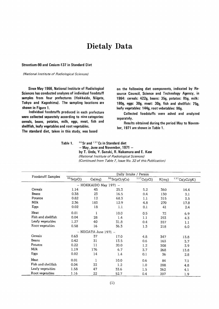### **Dietaly Data**

Strontium-90 and Cesium-137 in Standard Diet

(National Institute of Radiological Sciences)

Since May 1966, National Institute of Radiological Sciences has conducted analyses of individual foodstuff samples from four prefectures (Hokkaido, Niigata, Tokyo and Kagoshima). The sampling locations are shown in Figure 1.

Individual foodstuffs produced in each prefecture were collected separately according to nine categories: cereals, beans, potatos, milk, eggs, meat, fish and shellfish, leafy vegetables and root vegetables.

The standard diet, taken in this study, was based

on the following diet components, indicated by Resource Council, Science and Technology Agency, in 1964: cereals: 422g, beans: 35g, potatos: 85g, milk: 180g, eggs: 30g, meat: 30g, fish and shellfish: 75g, leafy vegetables: 144g, root vebetables: 96g.

Collected foodstuffs were ashed and analyzed separately.

Results obtained during the period May to November, 1971 are shown in Table 1.

 $90$  Sr and  $137$  Cs in Standard diet Table 1. - May, June and November, 1971 by T. Ueda, Y. Suzuki, R. Nakamura and E. Kase (National Institute of Radiological Sciences) (Continued from Table 7, Issue No. 32 of this Publication)

|                    | Daily Intake / Person |                           |                  |            |       |               |  |  |  |  |  |
|--------------------|-----------------------|---------------------------|------------------|------------|-------|---------------|--|--|--|--|--|
| Foodstuff Samples  | $90$ Sr(pCi)          | Ca(mg)                    | $90$ Sr(pCi/gCa) | 137Cs(pCi) | K(mq) | 137Cs(pCi/gK) |  |  |  |  |  |
|                    |                       | - HOKKAIDO May 1971 -     |                  |            |       |               |  |  |  |  |  |
| Cereals            | 1.14                  | 45                        | 25.3             | 5.2        | 360   | 14.4          |  |  |  |  |  |
| Beans              | 0.38                  | 23                        | 16.5             | 0.4        | 130   | 3.1           |  |  |  |  |  |
| Potatos            | 0.82                  | 12                        | 68.3             | 1.1        | 315   | 3.5           |  |  |  |  |  |
| Milk               | 2.36                  | 183                       | 12.9             | 4.8        | 270   | 17.8          |  |  |  |  |  |
| Eggs               | 0.02                  | 18                        | 1.1              | 0.1        | 41    | 2.4           |  |  |  |  |  |
| Meat               | 0.01                  | 1                         | 10.0             | 0.5        | 72    | 6.9           |  |  |  |  |  |
| Fish and shellfish | 0.04                  | 28                        | 1.4              | 1.1        | 253   | 4.3           |  |  |  |  |  |
| Leafy vegetables   | 1.27                  | 40                        | 31.8             | 0.4        | 357   | 1.1           |  |  |  |  |  |
| Root vegetables    | 0.58                  | 16                        | 36.3             | 1.3        | 218   | 6.0           |  |  |  |  |  |
|                    |                       | $-$ NIIGATA June 1971 $-$ |                  |            |       |               |  |  |  |  |  |
| Cereals            | 0.63                  | 37                        | 17.0             | 4.8        | 347   | 13.8          |  |  |  |  |  |
| Beans              | 0.42                  | 31                        | 13.5             | 0.6        | 163   | 3.7           |  |  |  |  |  |
| Potatos            | 0.22                  | 11                        | 20.0             | 1.2        | 308   | 3.9           |  |  |  |  |  |
| Milk               | 1.19                  | 176                       | 6.7              | 3.7        | 268   | 13.8          |  |  |  |  |  |
| Eggs               | 0.02                  | 14                        | 1.4              | 0.1        | 36    | 2.8           |  |  |  |  |  |
| Meat               | 0.01                  | 1                         | 10.0             | 0.6        | 84    | 7.1           |  |  |  |  |  |
| Fish and shellfish | 0.04                  | 33                        | 1.2              | 1.0        | 208   | 4.8           |  |  |  |  |  |
| Leafy vegetables   | 1.58                  | 47                        | 33.6             | 1.5        | 362   | 4.1           |  |  |  |  |  |
| Root vegetables    | 1.16                  | 22                        | 52.7             | 0.4        | 207   | 1.9           |  |  |  |  |  |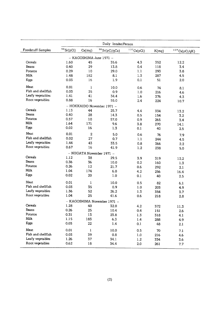|                    | Daily Intake/Person |                |                             |            |           |               |  |  |  |  |
|--------------------|---------------------|----------------|-----------------------------|------------|-----------|---------------|--|--|--|--|
| Foodstuff Samples  | $90$ Sr(pCi)        | Ca(mg)         | $90$ Sr(pCi/gCa)            | 137Cs(pCi) | K(mg)     | 137Cs(pCi/gK) |  |  |  |  |
|                    |                     |                | - KAGOSHIMA June 1971 -     |            |           |               |  |  |  |  |
| Cereals            | 1.60                | 45             | 35.6                        | 4.3        | 352       | 12.2          |  |  |  |  |
| Beans              | 0.40                | 29             | 13.8                        | 0.4        | 118       | 3.4           |  |  |  |  |
| Potatos            | 0.29                | 10             | 29.0                        | 1.1        | 293       | 3.8           |  |  |  |  |
| Milk               | 1.48                | 182            | 8.1                         | 1.3        | 287       | 4.5           |  |  |  |  |
| Eggs               | 0.03                | 16             | 1.9                         | 0.1        | 51        | 2.0           |  |  |  |  |
| Meat               | 0.01                | 1              | 10.0                        | 0.6        | 74        | 8.1           |  |  |  |  |
| Fish and shellfish | 0.03                | 35             | 0.9                         | 1.0        | 216       |               |  |  |  |  |
| Leafy vegetables   | 1.41                | 41             | 34.4                        | 1.6        | 376       | 4.6           |  |  |  |  |
| Root vegetables    | 0.88                | 16             | 55.0                        | 2.4        | 224       | 4.3           |  |  |  |  |
|                    |                     |                | - HOKKAIDO November 1971 -  |            |           | 10.7          |  |  |  |  |
| Cereals            | 1.13                | 44             | 25.7                        | 4.4        | 334       |               |  |  |  |  |
| Beans              | 0.40                | 28             | 14.3                        | 0.5        | 154       | 13.2          |  |  |  |  |
| Potatos            | 0.57                | 10             | 57.0                        | 0.9        | 265       | 3.2           |  |  |  |  |
| Milk               | 1.64                | 171            | 9.6                         | 3.8        |           | 3.4           |  |  |  |  |
| Eggs               | 0.02                | 16             | 1.3                         | 0.1        | 270<br>40 | 14.1<br>2.5   |  |  |  |  |
| Meat               | 0.01                | $\overline{c}$ |                             |            |           |               |  |  |  |  |
| Fish and shellfish | 0.02                | 27             | 5.0                         | 0.6        | 76        | 7.9           |  |  |  |  |
| Leafy vegetables   | 1.44                |                | 0.7                         | 1.1        | 244       | 4.5           |  |  |  |  |
| Root vegetables    | 0.67                | 43<br>16       | 33.5                        | 0.8        | 366       | 2.2           |  |  |  |  |
|                    |                     |                | 41.9                        | 1.2        | 238       | 5.0           |  |  |  |  |
| Cereals            |                     |                | - NIIGATA November 1971 -   |            |           |               |  |  |  |  |
| Beans              | 1.12                | 38             | 29.5                        | 3.9        | 319       | 12.2          |  |  |  |  |
| Potatos            | 0.36                | 36             | 10.0                        | 0.2        | 160       | 1.3           |  |  |  |  |
| Milk               | 0.26                | 12             | 21.7                        | 0.6        | 292       | 2.1           |  |  |  |  |
|                    | 1.04                | 174            | 6.0                         | 4.2        | 256       | 16.4          |  |  |  |  |
| Eggs               | 0.02                | 20             | $1.0$                       | 0.1        | 40        | $2.5\,$       |  |  |  |  |
| Meat               | 0.01                | $\mathbf{I}$   | 10.0                        | 0.5        | 82        | 6.1           |  |  |  |  |
| Fish and shellfish | 0.03                | 35             | 0.9                         | 1.0        | 203       | 4.9           |  |  |  |  |
| Leafy vegetables   | 1.36                | 52             | 26.2                        | 1.3        | 354       | 3.7           |  |  |  |  |
| Root vegetables    | 1.04                | 25             | 41.6                        | 0.6        | 218       | 2.8           |  |  |  |  |
|                    |                     |                | - KAGOSHIMA November 1971 - |            |           |               |  |  |  |  |
| Cereals            | 1.28                | 40             | 32.0                        | 4.2        | 372       | 11.3          |  |  |  |  |
| Beans              | 0.26                | 25             | 10.4                        | 0.4        | 151       | 2.6           |  |  |  |  |
| Potatos            | 0.31                | 13             | 23.8                        | 1.3        | 318       | 4.1           |  |  |  |  |
| Milk               | 1.15                | 183            | 6.3                         | 1.4        | 288       | 4.9           |  |  |  |  |
| Eggs               | 0.03                | 22             | 1.4                         | 0.1        | 48        | 2.1           |  |  |  |  |
| Meat               | 0.01                | $\mathbf{1}$   | 10.0                        | 0.5        | 70        | 7.1           |  |  |  |  |
| Fish and shellfish | 0.03                | 39             | 0.8                         | $1.0$      | 216       | 4.6           |  |  |  |  |
| Leafy vegetables   | 1.26                | 37             | 34.1                        | 1.2        | 334       | 3.6           |  |  |  |  |
| Root vegetables    | 0.62                | 18             | 34.4                        | 2.0        | 261       | 7.7           |  |  |  |  |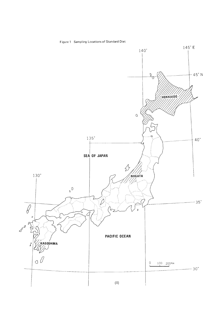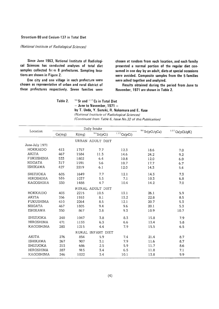### Strontium-90 and Cesium-137 in Total Diet

(National Institute of Radiological Sciences)

Since June 1963, National Institute of Radiological Sciences has conducted analyses of total diet samples collected from 8 prefectures. Sampling locations are shown in Figure 2.

One city and one village in each prefecture were chosen as representative of urban and rural district of these prefectures respectively. Seven families were

chosen at random from each location, and each family presented a normal portion of the regular diet consumed in one day by an adult, diets at special occasions were avoided. Composite samples from the 5 families were ashed together and analyzed.

Results obtained during the period from June to November, 1971 are shown in Table 2.

Table 2. 90 Sr and 137 Cs in Total Diet - June to November, 1971 -

by T. Ueda, Y. Suzuki, R. Nakamura and E. Kase

(National Institute of Radiological Sciences) (Continued from Table 6, Issue No.32 of this Publication)

| Location         |        |       | Daily Intake      |            |                     |                  |
|------------------|--------|-------|-------------------|------------|---------------------|------------------|
|                  | Ca(mg) | K(mg) | $90$ Sr(pCi)      | 137Cs(pCi) | $^{90}$ Sr(pCi/gCa) | $137$ Cs(pCi/gK) |
|                  |        |       | URBAN ADULT DIET  |            |                     |                  |
| June-July 1971   |        |       |                   |            |                     |                  |
| HOKKAIDO         | 413    | 1757  | 7.7               | 12.3       | 18.6                | 7.0              |
| AKITA            | 467    | 1584  | 11.3              | 14.6       | 24.2                | 9.2              |
| <b>FUKUSHIMA</b> | 533    | 1802  | 6.4               | 10.8       | 12.0                | 6.0              |
| <b>NIIGATA</b>   | 317    | 1591  | 5.6               | 10.7       | 17.7                | 6.7              |
| <b>ISHIKAWA</b>  | 427    | 2219  | 6.1               | 12.0       | 14.3                | 5.4              |
| <b>SHIZUOKA</b>  | 605    | 1649  | 7.7               | 12.1       | 14.3                | 7.3              |
| <b>HIROSHIMA</b> | 535    | 1037  | 5.5               | 7.1        | 10.3                | 6.8              |
| <b>KAGOSHIMA</b> | 330    | 1488  | 4.7               | 10.4       | 14.2                | 7.0              |
|                  |        |       | RURAL ADULT DIET  |            |                     |                  |
| HOKKAIDO         | 403    | 2215  | 10.5              | 13.1       | 26.1                | 5.9              |
| AKITA            | 356    | 1553  | 8.1               | 13.2       | 22.8                | 8.5              |
| <b>FUKUSHIMA</b> | 410    | 2264  | 8.5               | 12.1       | 20.7                | 5.3              |
| <b>NIIGATA</b>   | 467    | 1805  | 9.4               | 9.6        | 20.1                | 5.3              |
| <b>ISHIKAWA</b>  | 350    | 867   | 3.8               | 9.3        | 10.9                | 10.7             |
| SHIZUOKA         | 240    | 1047  | 3.8               | 8.3        | 15.8                | 7.9              |
| <b>HIROSHIMA</b> | 471    | 1133  | 6.3               | 6.6        | 13.4                | 5.8              |
| <b>KAGOSHIMA</b> | 283    | 1215  | 4.4               | 7.9        | 15.5                | 6.5              |
|                  |        |       | RURAL INFANT DIET |            |                     |                  |
| <b>AKITA</b>     | 276    | 854   | 5.9               | 7.4        | 21.4                | 8.7              |
| <b>ISHIKAWA</b>  | 267    | 907   | 3.1               | 7.9        | 11.6                | 8.7              |
| <b>SHIZUOKA</b>  | 213    | 686   | 2.5               | 5.9        | 11.7                | 8.6              |
| <b>HIROSHIMA</b> | 287    | 915   | 3.4               | 6.5        | 11.8                | 7.1              |
| KAGOSHIMA        | 246    | 1022  | 3.4               | 10.1       | 13.8                | 9.9              |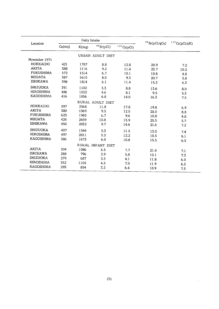|                  |        | Daily Intake |                   |            | $^{90}$ Sr(pCi/gCa) | $^{137}\mathrm{Cs}(\mathrm{pCi/gK})$ |  |
|------------------|--------|--------------|-------------------|------------|---------------------|--------------------------------------|--|
| Location         | Ca(mg) | K(mg)        | $90$ Sr(pCi)      | 137Cs(pCi) |                     |                                      |  |
|                  |        |              | URBAN ADULT DIET  |            |                     |                                      |  |
| November 1971    |        |              |                   |            |                     |                                      |  |
| <b>HOKKAIDO</b>  | 421    | 1787         | 8.8               | 12.8       | 20.9                | 7.2                                  |  |
| <b>AKITA</b>     | 388    | 1116         | 9.2               | 11.4       | 23.7                | 10.2                                 |  |
| <b>FUKUSHIMA</b> | 572    | 1514         | 6.7               | 10.1       | 10.8                | 4.8                                  |  |
| <b>NIIGATA</b>   | 387    | 1610         | 8.0               | 9.3        | 20.7                | 5.8                                  |  |
| <b>ISHIKAWA</b>  | 398    | 1814         | 6.1               | 11.4       | 15.3                | 6.3                                  |  |
| SHIZUOKA         | 391    | 1102         | 5.3               | 8.8        | 13.6                | 8.0                                  |  |
| <b>HIROSHIMA</b> | 486    | 1532         | 4.6               | 8.1        | 9.5                 | 5.3                                  |  |
| KAGOSHIMA        | 416    | 1856         | 6.8               | 14.0       | 16.3                | 7.5                                  |  |
|                  |        |              | RURAL ADULT DIET  |            |                     |                                      |  |
| HOKKAIDO         | 597    | 2568         | 11.8              | 17.8       | 19.8                | 6.9                                  |  |
| <b>AKITA</b>     | 380    | 1369         | 9.5               | 12.0       | 25.0                | 8.8                                  |  |
| <b>FUKUSHIMA</b> | 623    | 1985         | 6.7               | 9.6        | 10.8                | 4.8                                  |  |
| <b>NIIGATA</b>   | 424    | 2459         | 10.8              | 13.9       | 25.5                | 5.7                                  |  |
| <b>ISHIKAWA</b>  | 450    | 2032         | 9.7               | 14.6       | 21.6                | 7.2                                  |  |
| <b>SHIZUOKA</b>  | 407    | 1546         | 5.3               | 11.5       | 13.0                | 7.4                                  |  |
| <b>HIROSHIMA</b> | 497    | 2011         | 5.2               | 12.2       | 10.5                | 6.1                                  |  |
| <b>KAGOSHIMA</b> | 386    | 1673         | 6.0               | 10.8       | 15.5                | 6.5                                  |  |
|                  |        |              | RURAL INFANT DIET |            |                     |                                      |  |
| <b>AKITA</b>     | 304    | 1086         | 6.5               | 7.7        | 21.4                |                                      |  |
| <b>ISHIKAWA</b>  | 288    | 796          | 2.9               | 5.8        | 10.1                | 7.1<br>7.3                           |  |
| <b>SHIZUOKA</b>  | 279    | 687          | 3.3               | 4.1        | 11.8                |                                      |  |
| <b>HIROSHIMA</b> | 352    | 1104         | 4.2               | 7.0        | 11.9                | 6.0                                  |  |
| <b>KAGOSHIMA</b> | 293    | 854          | 3.2               | 6.4        | 10.9                | 6.3<br>7.5                           |  |

 $\ddot{\phantom{a}}$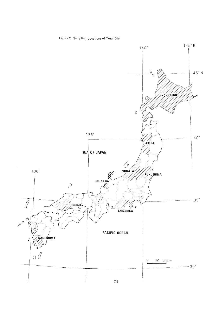

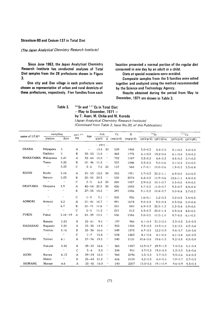#### Strontium-90 and Cesium-137 in Total Diet

#### (The Japan Analytical Chemistry Research Institute)

Since June 1963, the Japan Analytical Chemistry Research Institute has conducted analyses of Total Diet samples from the 28 prefectures shown in Figure 3.

One city and One village in each prefecture were chosen as representative of urban and rural destricts of these prefectures, respectively. Five families from each

location presented a normal portion of the regular diet consumed in one day by an adult or a child.

Diets at special occasions were avoided.

Composite samples from the 5 families were ashed together and analyzed using the method recommended by the Science and Technology Agency.

Results obtained during the period from May to December, 1971 are shown in Table 3.

Table 3.

 $-$  May to December, 1971  $$ by T. Asari, M. Chiba and M. Kuroda

90 Sr and 137 Cs in Total Diet

(Japan Analytical Chemistry Research Institute)

(Continued from Table 3, Issue No.30, of this Publication)

| name of I.P.H*    | sampling              |                    | sort-**          | Age                      |          | Ash                        | Ca       | K        |                       | $90$ Sr        | 137Cs          |               |
|-------------------|-----------------------|--------------------|------------------|--------------------------|----------|----------------------------|----------|----------|-----------------------|----------------|----------------|---------------|
|                   | station               | date               | ing              |                          | g/p/d    | g                          | (mg/p/d) | (mq/p/d) | $(pCi/p/d)$ (pCi/qCa) |                | (pCi/p/d)      | (pCi/qK)      |
|                   |                       |                    |                  |                          | $-1971-$ |                            |          |          |                       |                |                |               |
| <b>OSAKA</b>      | Neyaqawa              | 5                  | $\boldsymbol{A}$ | $\overline{\phantom{0}}$ | 14.4     | 30                         | 529      | 1945     | $5.0 \pm 0.3$         | $8.4 \pm 0.5$  | $8.1 \pm 0.5$  | $4.2 \pm 0.3$ |
|                   | Hajikino              | 5                  | B                | $38 - 52$                | 15.8     | $\boldsymbol{\prime}$      | 463      | 1775     | $6.1 \pm 0.3$         | $13.2 \pm 0.6$ | $6.1 \pm 0.4$  | $3.4 \pm 0.2$ |
| WAKAYAMA Wakayama |                       | 5.21               | A                | $32 - 64$                | 15.0     | $\boldsymbol{\epsilon}$    | 722      | 1187     | $3.2 \pm 0.2$         | $4.4 \pm 0.3$  | $4.4 \pm 0.3$  | $3.7 \pm 0.3$ |
|                   | Yuasa                 | 5.22               | B                | $18 - 46$                | 11.3     | $\pmb{\cdot}$              | 337      | 1046     | $3.3 \pm 0.2$         | $9.8 \pm 0.6$  | $3.1 \pm 0.3$  | $3.0 \pm 0.3$ |
|                   | $\pmb{\cdot}$         | 5.23               | C                | $3 - 6$                  | 7.0      | 20                         | 157      | 568      | $1.7 \pm 0.1$         | $10.8 \pm 0.6$ | $1.9 \pm 0.2$  | $3.3 \pm 0.4$ |
| KOCHI             | Kochi                 | 5.16               | $\mathsf{A}$     | $25 - 53$                | 12.8     | 30                         | 282      | 1951     | $5.7 \pm 0.3$         | $20.2 \pm 1.1$ | $6.9 \pm 0.5$  | $3.5 \pm 0.3$ |
|                   | Haruno                | 5.23               | B                | $28 - 58$                | 20.3     | $\pmb{\cdot}$              | 520      | 2874     | $6.2 \pm 0.3$         | $11.9 \pm 0.6$ | $12.6 \pm 1.1$ | $4.4 \pm 0.4$ |
|                   | $\bar{\epsilon}$      | $\lambda$          | $\mathbf C$      | $2 - 5$                  | 6.2      | 20                         | 288      | 1087     | $2.9 \pm 0.2$         | $10.1 \pm 0.7$ | $5.3 \pm 0.5$  | $4.9 \pm 0.5$ |
| OKAYAMA           | Okayama               | 5.9                | A                | $42 - 54$                | 20.3     | 30                         | 426      | 1892     | $4.7 + 0.3$           | $11.0 \pm 0.7$ | $9.2 \pm 0.7$  | $4.9 \pm 0.4$ |
|                   | $\boldsymbol{r}$ .    | $\pmb{\cdot}$      | B                | $27 - 34$                | 14.2     | $\boldsymbol{\epsilon}$    | 297      | 1336     | $3.1 \pm 0.2$         | $10.4 \pm 0.7$ | $5.0 \pm 0.4$  | $3.7 \pm 0.3$ |
|                   | $\bar{\phantom{a}}$   | $\epsilon$ .       | $\mathcal{C}$    | $1 - 5$                  | 7.1      | $\pmb{\cdot}$              | 305      | 936      | $1.6 \pm 0.1$         | $5.2 \pm 0.3$  | $3.2 \pm 0.3$  | $3.4 \pm 0.3$ |
| AOMORI            | Aomori                | 6.2                | $\mathsf{A}$     | $21 - 41$                | 18.7     | $\boldsymbol{\epsilon}$    | 991      | 1674     | $9.4 \pm 0.4$         | $9.5 \pm 0.4$  | $8.3 \pm 0.6$  | $5.0 \pm 0.4$ |
|                   | $\boldsymbol{\mu}$    | 6.7                | B                | $25 - 71$                | 11.6     | $\boldsymbol{\mu}$         | 241      | 880      | $6.9 \pm 0.3$         | $28.5 \pm 1.2$ | $5.2 \pm 0.4$  | $5.9 \pm 0.5$ |
|                   | $\epsilon$            | $\alpha$           | $\mathsf{C}$     | $2 - 5$                  | 11.2     | $\boldsymbol{\alpha}$      | 215      | 812      | $4.3 \pm 0.3$         | $20.0 \pm 1.4$ | $3.9 \pm 0.4$  | $4.8 \pm 0.5$ |
| <b>FUKUI</b>      | Fukui                 | $5.16 - 19$        | $\mathbf{A}$     | $24 - 39$                | 12.5     | $\pmb{\cdot}$              | 506      | 1586     | $5.8 \pm 0.5$         | $11.5 \pm 1.0$ | $9.7 \pm 0.8$  | $6.1 \pm 0.5$ |
|                   | Kanazu                | 5.23               | B                | $25 - 61$                | 9.5      | $\boldsymbol{\cdot}$       | 197      | 965      | $6.1 \pm 0.4$         | $31.0 \pm 2.0$ | $3.3 \pm 0.3$  | $3.4 \pm 0.3$ |
| NAGASAKI          | Naqasaki              | 5.28               | A                | $23 - 38$                | 14.4     | $\pmb{\cdots}$             | 302      | 1358     | $3.3 \pm 0.3$         | $10.9 \pm 1.0$ | $5.8 \pm 0.5$  | $4.3 \pm 0.4$ |
|                   | Tokitsu               | 5.16               | в                | $25 - 36$                | 16.6     | $\epsilon$                 | 549      | 1872     | $6.7 \pm 0.5$         | $12.2 \pm 0.9$ | $9.4 \pm 0.7$  | $5.0 \pm 0.4$ |
|                   | $\bar{\phantom{a}}$   | $\pmb{\cdots}$     | C                | $1 - 7$                  | 10.4     | $\boldsymbol{\epsilon}$    | 504      | 1263     | $4.1 \pm 0.4$         | $8.1 \pm 0.8$  | $6.1 \pm 0.4$  | $4.8 \pm 0.3$ |
| TOTTORI           | Tottori               | 6.1                | $\mathsf{A}$     | $27 - 76$                | 19.3     | $\cdot$ ,                  | 540      | 2121     | $10.6 \pm 0.8$        | $19.6 \pm 1.5$ | $9.2 \pm 0.8$  | $4.3 \pm 0.4$ |
|                   | Fukube                | 5.30               | B                | $29 - 37$                | 16.6     | $\pmb{\cdot}$              | 365      | 1457     | $10.9 \pm 0.7$        | $29.9 \pm 1.9$ | $7.4 \pm 0.6$  | $5.1 \pm 0.4$ |
|                   | $\epsilon$ $\epsilon$ | $\bar{\ell}$       | $\mathsf{C}$     | $3 - 6$                  | 8.3      | $\epsilon$ .               | 248      | 901      | $4.7 \pm 0.2$         | $19.0 \pm 0.8$ | $5.2 \pm 0.5$  | $5.8 \pm 0.6$ |
| AICHI             | Kariya                | 6.13               | $\mathsf{A}$     | $39 - 54$                | 18.5     | $\pmb{\cdot}$              | 968      | 2096     | $5.5 \pm 0.3$         | $5.7 \pm 0.3$  | $9.3 \pm 0.6$  | $4.4 \pm 0.3$ |
|                   | Nishio                | $\boldsymbol{\mu}$ | B                | $25 - 44$                | 21.8     | $\pmb{r}$                  | 656      | 2108     | $4.2 \pm 0.3$         | $6.4 \pm 0.5$  | $7.9 \pm 0.7$  | $3.7 \pm 0.3$ |
| SHIMANE           | Matsue                | 6.6                | $\mathbf{A}$     | $33 - 45$ 18.0           |          | $\qquadscriptstyle\prime}$ | 540      | 2207     | $10.3 \pm 0.5$        | $19.1 \pm 0.9$ | $9.6 \pm 0.9$  | $4.3 \pm 0.4$ |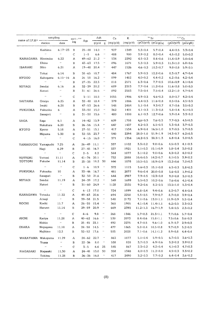| name of I.P.H* -    | sampling              |                                                | $sort-***$   |                        | Ash          |                                           | Ca         | K            |                                | $^{9\,0}\mathrm{Sr}$                                                  |                                 | 137Cs                          |
|---------------------|-----------------------|------------------------------------------------|--------------|------------------------|--------------|-------------------------------------------|------------|--------------|--------------------------------|-----------------------------------------------------------------------|---------------------------------|--------------------------------|
|                     | station               | date                                           | ing          | Age                    | g/p/d        | q                                         | (mg/p/d)   | (mg/p/d)     |                                | $(pCi/p/d)$ (pCi/gCa)                                                 | $(pCi/p/d)$ $(pCi/gK)$          |                                |
|                     | Kashima               | $6.17 - 23$                                    | $\mathbf B$  | $25 - 48$              | 14.0         | $\pmb{\cdot}$                             | 927        | 1349         | $5.3 \pm 0.4$                  | $5.7 \pm 0.4$                                                         | $4.4 \pm 0.5$                   | $3.3 \pm 0.4$                  |
|                     | $\bar{\epsilon}$      |                                                | $\mathsf{C}$ | $1 - 5$                | 6.6          | $\pmb{\cdot}$                             | 488        | 900          | $3.9 \pm 0.2$                  | $8.0 \pm 0.4$                                                         | $4.5 \pm 0.2$                   | $5.0 + 0.2$                    |
| KANAGAWA Hiratsuka  |                       | 6.22                                           | A            | $49 - 62$              | 21.2         | $\pmb{\epsilon}$                          | 534        | 2292         | $4.5 \pm 0.3$                  | $8.4 \pm 0.6$                                                         | $11.4 \pm 0.9$                  | $5.0 \pm 0.4$                  |
|                     | Ebina                 | $\bar{\epsilon}$                               | B            | $43 - 63$              | 17.5         | $\bar{\ell}$                              | 896        | 1671         | $5.3 \pm 0.3$                  | $5.9 \pm 0.3$                                                         | $11.3 \pm 1.0$                  | $6.8 \pm 0.6$                  |
| IBARAKI             | Mito                  | 6.21                                           | Α            | $19 - 48$              | 20.4         | $\boldsymbol{\epsilon}$                   | 447        | 1526         | $4.6 \pm 0.3$                  | $10.3 \pm 0.7$                                                        | $9.0 \pm 0.8$                   | $5,9 \pm 0.5$                  |
|                     | Tokai                 | 6.14                                           | B            | $38 - 65$              | 18.7         | $\epsilon$ $\epsilon$                     | 484        | 1767         | $5.9 \pm 0.3$                  | $12.2 \pm 0.6$                                                        | $8.3 \pm 0.7$                   | $4.7 \pm 0.4$                  |
| HYOGO               | Kakogawa              | $6.15 - 16$                                    | $\mathsf{A}$ | 26 58                  | 16.2         | $\pmb{\cdot}$                             | 899        | 1482         | $4.0 \pm 0.2$                  | $4.4 \pm 0.2$                                                         | $6.2 \pm 0.6$                   | $4.2 \pm 0.4$                  |
|                     | $\bar{\epsilon}$      | $\boldsymbol{\epsilon}$                        | B            | $27 - 35$              | 22.3         | $\pmb{\cdot}$                             | 818        | 2571         | $6.3 \pm 0.4$                  | $7.7 \pm 0.5$                                                         | $10,6 \pm 0.9$                  | $4.1 \pm 0.4$                  |
| MIYAGI              | Sendai                | 6.16                                           | Α            | $32 - 39$              | 20,2         | $\boldsymbol{\epsilon}$                   | 689        | 2313         | $7.7 \pm 0.4$                  | $11.2 \pm 0.6$                                                        | $11.6 \pm 0.8$                  | $5.0 \pm 0.3$                  |
|                     | Natori                | $\epsilon$                                     | B            | $31 - 61$              | 26.6         | $\epsilon$                                | 892        | 2583         | $7.5 \pm 0.4$                  | $7.5 \pm 0.4$                                                         | $12.2 \pm 1.0$                  | $4.7 \pm 0.4$                  |
|                     | $\bar{\epsilon}$      | $\bar{t}$ $\bar{t}$                            | C            | $5 - 11$               | 18.8         | $\epsilon$                                | 1055       | 1906         | $4.9 \pm 0.3$                  | $4.6 \pm 0.3$                                                         | $8.0 + 0.7$                     | $4.2 \pm 0.4$                  |
| SAITAMA             | Omiya                 | 6.25                                           | А            | $32 - 40$              | 18.4         | $\pmb{\cdot}$                             | 379        | 1886         | $4.4 \pm 0.3$                  | 11.6±0.8                                                              | $8.5 \pm 0.6$                   | $4.5 \pm 0.3$                  |
|                     | Iwaki                 | 6.28                                           | B            | $47 - 53$              | 26.6         | $\pmb{\cdot}$                             | 548        | 2484         | $5.1 \pm 0.4$                  | $9.3 \pm 0.7$                                                         | $8.7 \pm 0.6$                   | $3.5 \pm 0.2$                  |
| <b>FUKUOKA</b>      | Fukuoka               | 6                                              | Α            | $33 - 50$              | 15.0         | $\pmb{\cdot}$                             | 362        | 1401         | $4.1 \pm 0.3$                  | $11.3 \pm 0.8$                                                        | $5.8 \pm 0.4$                   | $4.1 \pm 0.3$                  |
|                     | Sasagori              | $\cdot$                                        | B            | $31 - 50$              | 15.6         | $\pmb{\cdot}$                             | 480        | 1808         | $6.1 \pm 0.3$                  | $12.7 \pm 0.6$                                                        | $5.9 \pm 0.4$                   | $3.3 \pm 0.2$                  |
| SAGA                | Saga                  | 6.1                                            | Α            | $14 - 42$              | 15.9         | $\bullet$                                 | 609        | 1708         | $4.6 \pm 0.3$                  | $7.6 \pm 0.5$                                                         | $7.7 \pm 0.5$                   | $4.5 \pm 0.3$                  |
|                     | Nakahara              | 6.20                                           | В            | $26 - 56$              | 15.4         | $\pmb{\cdot}$                             | 647        | 1437         | $4.2 \pm 0.3$                  | $6.5 \pm 0.5$                                                         | $5.3 \pm 0.4$                   | $3.7 \pm 0.3$                  |
| KYOTO               | Kyoto                 | 5.18                                           | Α            | $27 - 51$              | 15.1         | $\boldsymbol{\epsilon}$                   | 417        | 1534         | $6.9 \pm 0.4$                  | $16.5 \pm 1.0$                                                        | $8.7 \pm 0.5$                   | $5.7 \pm 0.3$                  |
|                     | Miyama                | 5.30                                           | В            | $32 - 55$              | 23.7         | $\boldsymbol{\epsilon}$                   | 540        | 2294         | $28.0 \pm 1.0$                 | 51.9±1.9                                                              | $14.3 \pm 0.7$                  | $6.2 \pm 0.3$                  |
|                     | $\bar{\alpha}$        | $\boldsymbol{\theta}$                          | C            | $4 - 15$               | 16.0         | $\epsilon$                                | 371        | 1354         | $14.2 \pm 0.5$                 | $38.3 \pm 1.3$                                                        | $6.8 \pm 0.4$                   | $5.0 \pm 0.3$                  |
| YAMAGUCHI Yamaguchi |                       | 7.25                                           | Α            | $26 - 49$              | 11.1         | $\boldsymbol{\epsilon}$                   | 337        | 1102         | $3.3 \pm 0.2$                  | $9.8 \pm 0.6$                                                         | $4.5 \pm 0.3$                   | $4.1 \pm 0.3$                  |
|                     | Haqi                  | 6.29                                           | B            | $27 - 45$              | 16.7         | $\boldsymbol{\theta}$                     | 337        | 1921         | $5.1 \pm 0.3$                  | $15.1 \pm 0.9$                                                        | $5.8 \pm 0.4$                   | $3.0 \pm 0.2$                  |
|                     | $\bar{B}$             | $\bar{\boldsymbol{\theta}}$                    | $\mathsf{C}$ | $2 - 5$                | 8.2          | $\pmb{\cdot}$                             | 344        | 1077         | $3.1 \pm 0.2$                  | $9.0 \pm 0.6$                                                         | $4.3 \pm 0.2$                   | $4.0 \pm 0.2$                  |
| TOTTORI<br>TOTTORI  | Tottori<br>Fukube     | 11.11<br>11.14                                 | A<br>B       | $41 - 76$              | 20.1<br>18.2 | $\boldsymbol{\theta}$<br>30               | 732        | 2088         | $10.4 \pm 0.5$                 | $14.2 \pm 0.7$                                                        | $8.1 \pm 0.5$                   | $3.9 \pm 0.2$                  |
|                     |                       |                                                |              | $25 - 38$              |              |                                           | 666        | 1878         | $10.5 \pm 0.5$                 | 18.9±0.9                                                              | $13.2 \pm 0.6$                  | $7.0 \pm 0.3$                  |
|                     | $\boldsymbol{\alpha}$ | $\bar{\ell}$                                   | $\mathsf{C}$ | $1 - 6$                | 10.9         | $\epsilon$                                | 372        | 1115         | $5.6 \pm 0.3$                  | $15.1 \pm 0.8$                                                        | $6.5 \pm 0.3$                   | $5.8 \pm 0.3$                  |
| <b>FUKUOKA</b>      | Fukuoka               | 10                                             | A            | $33 - 46$              | 16.7         | $\epsilon$                                | 481        | 2877         | $9.6 \pm 0.4$                  | $20.0 \pm 0.8$                                                        | $5.6 \pm 0.5$                   | $1.9 + 0.2$                    |
| MIYAGI              | Sasaguri<br>Sendai    | 11.19                                          | B<br>Α       | $32 - 50$<br>$24 - 39$ | 21.6<br>17.2 | $\pmb{\cdot}$<br>$\pmb{\cdot}$            | 644<br>549 | 2987<br>1699 | $7.9 \pm 0.5$<br>$5.5 \pm 0.3$ | $12.3 \pm 0.8$<br>$10.2 \pm 0.6$                                      | $9.0 \pm 0.8$                   | $3.0 \pm 0.3$                  |
|                     | Natori                | $\cdot$                                        | B            | $31 - 60$              | 24.9         | $\boldsymbol{\epsilon}$                   | 1128       | 2535         | $9.2 \pm 0.6$                  | $8.2 \pm 0.5$                                                         | $7.6 \pm 0.6$<br>$13.5 \pm 1.0$ | $4.5 \pm 0.4$<br>$5.3 \pm 0.4$ |
|                     | $\pmb{\cdot}$         |                                                |              |                        |              |                                           |            |              |                                |                                                                       |                                 |                                |
| KANAGAWA Totsuka    |                       | $\bar{\phantom{a}}$                            | C<br>A       | $6 - 12$<br>$49 - 63$  | 17.0<br>20.6 | $\boldsymbol{\theta}$<br>$\bar{\epsilon}$ | 724        | 1899         | $6.8 \pm 0.4$<br>$5.5 \pm 0.5$ | $9.4 \pm 0.6$                                                         | $8.3 \pm 0.7$                   | $4.4 \pm 0.4$                  |
|                     | Atsugi                | 11.22<br>$\mathbf{r}$                          | B            | $39 - 58$ 21.5         |              | $\mathbf{r}$                              | 694<br>548 | 2258<br>2172 |                                | $7.9 \pm 0.7$<br>$7.1\pm0.6$ 13.0 $\pm1.1$ 11.9 $\pm0.9$ 5.5 $\pm0.4$ | $8.7 \pm 0.8$                   | $3.9 \pm 0.4$                  |
| KOCHI               | Kochi                 | 11.7                                           | А            | $26 - 55$ 15.4         |              | $\pmb{\cdot}$                             | 360        | 1905         |                                | $4.1 \pm 0.4$ 11.4 $\pm 1.1$                                          | $6.2 \pm 0.5$ $3.3 \pm 0.3$     |                                |
|                     | Haruno                | 11.14                                          | в            | $29 - 59$              | 20.9         | $\boldsymbol{\cdot}$                      | 669        | 2393         | $11.2 \pm 1.3$                 | $16.7 \pm 1.9$                                                        | $5.4 \pm 0.5$                   | $2.3 \pm 0.2$                  |
|                     |                       |                                                |              |                        |              |                                           |            |              |                                |                                                                       |                                 |                                |
|                     | $\alpha$              | $\sim$ $\epsilon$                              | C            | $4 - 6$                | 9.8          | $\epsilon$<br>$\boldsymbol{\epsilon}$     | 268        | 1346         | $5.7 \pm 0.3$                  | $21.3 \pm 1.1$                                                        | $7.7 \pm 0.6$                   | $5.7 \pm 0.4$                  |
| AICHI               | Kariya<br>Nishio      | 11.28<br>$\alpha$ .                            | A<br>В       | $40 - 62$<br>$25 - 45$ | 16.6<br>23.1 | $\boldsymbol{\cdot}$                      | 530<br>492 | 2073<br>2275 | $8.4 \pm 0.6$<br>$4.7 \pm 0.5$ | $15.8 \pm 1.1$<br>$9.6 \pm 1.0$                                       | $7.5 \pm 0.6$<br>$6.7 \pm 0.7$  | $3.6 \pm 0.3$<br>$2.9 \pm 0.3$ |
| OSAKA               | Neyaqawa              | 11.18                                          | А            | $24 - 58$              | 14.5         | $\boldsymbol{\epsilon}$                   | 477        | 1865         | $5.0 \pm 0.4$                  | $10.5 \pm 0.8$                                                        | $9.7 \pm 0.9$                   | $5.2 \pm 0.5$                  |
|                     | Hajikino              | 12.2                                           | в            | $32 - 52$              | 17.6         | $\epsilon$                                | 503        | 2028         | $7.1 \pm 0.6$                  | $14.1 \pm 1.2$                                                        | $8.9 \pm 0.8$                   | $4.4 \pm 0.4$                  |
|                     |                       |                                                |              |                        |              |                                           |            |              |                                |                                                                       |                                 |                                |
| WAKAYAMA Wakayama   |                       | 11.29                                          | Α            | $24 - 62$ 22.7         |              | $\cdot$<br>$^{\prime}$                    | 863<br>538 | 1877<br>828  | $5.1 \pm 0.4$<br>$3.7 \pm 0.3$ | $5.9 \pm 0.5$<br>$6.9 \pm 0.6$                                        | $6.7 \pm 0.5$<br>$3.2 \pm 0.2$  | $3.6 \pm 0.3$<br>$3.9 \pm 0.2$ |
|                     | Yuasa<br>$\alpha$     | $\boldsymbol{\theta}$<br>$\boldsymbol{\alpha}$ | В<br>C       | $22 - 36$<br>$3 - 5$   | 8.0<br>6.6   | 25                                        | 545        | 867          | $2.3 \pm 0.2$                  | $4.2 \pm 0.4$                                                         | $4.1 \pm 0.3$                   | $4.7 \pm 0.3$                  |
| NAGASAKI            | Nagasaki              | 11,30                                          | Α            | $24 - 41$              | 13.0         | 30                                        | 358        | 1348         | $4.0 \pm 0.3$                  | $11.2 \pm 0.8$                                                        | $4.5 \pm 0.3$                   | $3.3 \pm 0.2$                  |
|                     | Tokitsu               | 11.28                                          | в            | $26 - 36$ 16.8         |              | $\cdot$ $\cdot$                           | 417        | 2490         | $3.2 \pm 0.3$                  | $7.7 \pm 0.2$                                                         | $6.4 \pm 0.4$                   | $2.6 \pm 0.2$                  |
|                     |                       |                                                |              |                        |              |                                           |            |              |                                |                                                                       |                                 |                                |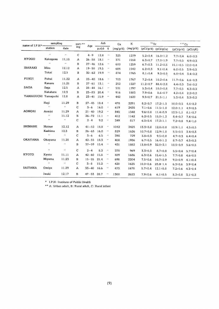| name of $I.P.H*$ -  | sampling                |                     | sort. $**$     | Age            | Ash       |                           | Ca       | ĸ        | 90Sr           |                         | 137Cs                         |                        |
|---------------------|-------------------------|---------------------|----------------|----------------|-----------|---------------------------|----------|----------|----------------|-------------------------|-------------------------------|------------------------|
|                     | station                 | date                | ing            |                | $p/d/6$ g |                           | (mg/p/d) | (mg/p/d) |                | $(pCi/p/d)$ $(pCi/qCa)$ |                               | $(pCi/p/d)$ $(pCi/gK)$ |
|                     | $\mathcal{L}$           | $\alpha$            | $\mathbf C$    | $4 - 9$        | 12.8      | $\qquad \qquad$           | 325      | 1279     | $5.2 \pm 0.4$  | $16.0 \pm 1.2$          | $7.7 \pm 0.4$                 | $6.0 \pm 0.3$          |
| <b>HYOGO</b>        | Kakogawa                | 11.18               | Α              | $26 - 58$      | 18.1      | $\qquad \qquad$           | 371      | 1558     | $6.3 \pm 0.7$  | $17.0 \pm 1.9$          | $7.7 \pm 0.5$                 | $4.9 \pm 0.3$          |
|                     | $\boldsymbol{\epsilon}$ | $\bar{\epsilon}$    | В              | $27 - 46$      | 12.6      | $\qquad \qquad$           | 600      | 1259     | $6.7 \pm 0.3$  | $11.2 \pm 0.5$          | $15.1 \pm 0.5$ 12.0 $\pm$ 0.4 |                        |
| <b>IBARAKI</b>      | Mito                    | 12.12               | A              | $19 - 50$      | 19.5      | $\mathcal{L}(\mathbf{r})$ | 684      | 1542     | $6.2 \pm 0.3$  | $9.1 \pm 0.4$           | $6.0 \pm 0.5$                 | $3.9 + 0.3$            |
|                     | Tokai                   | 12.5                | в              | $30 - 62$      | 19.9      | $\qquad \,$               | 874      | 1765     | $8.1 \pm 0.4$  | $9.3 \pm 0.5$           | $6.0 \pm 0.4$                 | 3.4:0.2                |
| <b>FUKUI</b>        | Fukui                   | 11.22               | $\mathbf{A}$   | $23 - 40$      | 18.6      | $\bar{\ell}$              | 703      | 1767     | $7.2 \pm 0.4$  | $10.2 \pm 0.6$          | $11.7 \pm 0.6$                | $6.6 \pm 0.3$          |
|                     | Kanazu                  | 11.21               | B              | $27 - 61$      | 13.1      | $\bar{\phantom{a}}$       | 252      | 1227     | $11.2 \pm 0.7$ | $44.4 \pm 2.8$          | $4.4 \pm 0.3$                 | $3.6 \pm 0.2$          |
| SAGA                | Saga                    | 12.5                | Α              | $28 - 44$      | 16.1      | $\bar{\ell}$              | 531      | 1797     | $5.3 \pm 0.4$  | $10.0 \pm 0.8$          | $7.7 \pm 0.5$                 | $4.3 \pm 0.3$          |
|                     | Nakahara                | 12.3                | $\, {\bf B}$   | $23 - 83$      | 20.4      | $\epsilon$                | 916      | 1883     | $7.9 \pm 0.6$  | $8.6 \pm 0.7$           | $4.2 \pm 0.4$                 | $2.2 \pm 0.2$          |
| YAMAGUCHI Yamaguchi |                         | 12.8                | A              | $23 - 41$      | 15.9      | $\pmb{\cdots}$            | 442      | 1620     | $9.5 \pm 0.7$  | $21.5 \pm 1.1$          | $5.3 \pm 0.4$                 | $3.3 \pm 0.2$          |
|                     | Hagi                    | 11.29               | в              | $27 - 45$      | 18.4      | $\bar{\epsilon}$          | 478      | 2291     | $8.2 \pm 0.7$  | $17.2 \pm 1.5$          | $10.0 \pm 0.5$                | $4.4 \pm 0.2$          |
|                     |                         | $\pmb{\cdot}$       | C              | $3 - 6$        | 16.0      | $\pmb{\cdot}$             | 619      | 2435     | $7.1 \pm 0.6$  | $11.5 \pm 1.0$          | $12.0 \pm 1.1$                | $4.9 \pm 0.5$          |
| <b>AOMORI</b>       | Aomiri                  | 11.29               | $\overline{A}$ | $21 - 40$      | 19.2      | $\cdot$                   | 845      | 1548     | $9.6 \pm 0.8$  | $11.4 \pm 0.9$          | $12.5 \pm 1.1$                | $8.1 \pm 0.7$          |
|                     | $\bar{\epsilon}$        | 11.12               | B              | $26 - 72$      | 11.1      | $\pmb{\cdots}$            | 412      | 1142     | $6.2 \pm 0.5$  | $15.0 \pm 1.2$          | $8.4 \pm 0.7$                 | $7.4 \pm 0.6$          |
|                     | $\mathbf{r}$            | $\bar{\epsilon}$    | $\mathbf C$    | $2 - 4$        | 9.2       | $\bar{\phantom{a}}$       | 349      | 817      | $6.0 \pm 0.4$  | $17.2 \pm 1.1$          | $7.2 \pm 0.8$                 | $9.4 \pm 1.0$          |
| <b>SHIMANE</b>      | Matsue                  | 12.12               | A              | $41 - 52$      | 18.8      | $\epsilon$                | 1042     | 2425     | $13.3 \pm 0.8$ | $12.8 \pm 0.8$          | $10.9 \pm 1.1$                | $4.5 \pm 0.5$          |
|                     | Kashima                 | 12.3                | в              | $26 - 63$      | 16.0      | $\qquad \qquad \bullet$   | 829      | 1626     | $10.7 \pm 0.8$ | $12.9 \pm 1.0$          | $5.5 \pm 0.5$                 | $3.4 \pm 0.3$          |
|                     | $\bar{\phantom{a}}$     | $\bar{\ell}$        | $\mathbf C$    | $3 - 6$        | 6.5       | $\pmb{\cdot}$             | 398      | 729      | $3.8 \pm 0.3$  | $9.5 \pm 0.8$           | $4.7 \pm 0.3$                 | $6.4 \pm 0.4$          |
| <b>OKAYAMA</b>      | Okayama                 | 11.28               | A              | $42 - 55$      | 18.3      | $\pmb{\cdot}$             | 408      | 1936     | $6.7 \pm 0.5$  | $16.4 \pm 1.2$          | $8.7 \pm 0.7$                 | $4.5 \pm 0.3$          |
|                     | $\ddot{\phantom{0}}$    | $\bar{\mathbf{r}}$  | в              | $37 - 59$      | 15.4      | $\pmb{\cdot}$             | 431      | 1882     | $13.8 \pm 0.9$ | $32.0 \pm 2.1$          | $10.5 \pm 0.9$                | $5.6 \pm 0.5$          |
|                     | $\ddot{\phantom{a}}$    | $\bar{\phantom{a}}$ | $\mathbf C$    | $2 - 4$        | 8.3       | $\pmb{\cdot}$             | 378      | 969      | $3.3 \pm 0.3$  | $8.7 \pm 0.8$           | $5.5 \pm 0.4$                 | $5.7 \pm 0.4$          |
| <b>KYOTO</b>        | Kyoto                   | 11.11               | A              | $42 - 60$      | 15.8      | $\pmb{\cdot}$             | 409      | 1686     | $6.3 \pm 0.6$  | $15.4 \pm 1.5$          | $7.7 \pm 0.8$                 | $4.6 \pm 0.5$          |
|                     | Miyama                  | 11.23               | В              | $15 - 55$      | 21.4      | $\bar{\mathbf{r}}$        | 698      | 2204     | $7.5 \pm 0.6$  | $10.7 \pm 0.9$          | $9.0 \pm 0.9$                 | $4.1 \pm 0.4$          |
|                     | $\bar{\phantom{a}}$     | $\alpha$            | С              | $3 - 8$        | 15.2      | $\pmb{\cdot}$             | 420      | 1625     | $10.0 \pm 0.6$ | $23.8 \pm 1.4$          | $6.3 \pm 0.6$                 | $3.9 \pm 0.4$          |
| SAITAMA             | Omiya                   | 11.29               | Α              | $33 - 40$      | 16.6      | $\epsilon$                | 473      | 1678     | $5.7 \pm 0.4$  | $12.1 \pm 0.8$          | $7.2 \pm 0.6$                 | $4.3 \pm 0.4$          |
|                     | Iwaki                   | 12.17               | в              | $47 - 53$ 28.7 |           | $\pmb{\cdot}$             | 1300     | 2623     | $7.9 \pm 0.6$  | $6.1 \pm 0.5$           | $8.2 \pm 0.8$                 | $3.1 \pm 0.3$          |

 $^\star$  -I.P.H: Institute of Public Health

★★A‥Urbanadult,B:Ruraladult,C:Ruralinfant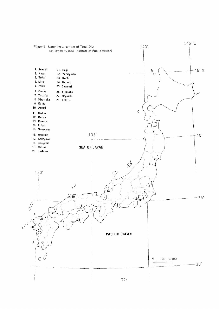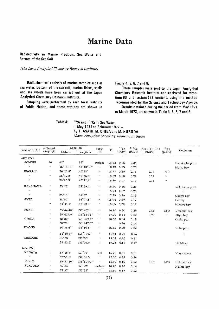### **Marine Data**

Radioactivity in Marine Products, Sea Water and **Bottom of the Sea Soil** 

(The Japan Analytical Chemistry Research Institute)

Radiochemical analysis of marine samples such as sea water, bottom of the sea soil, marine fishes, shells and sea weeds have been carried out at the Japan Analytical Chemistry Research Institute.

Sampling were performed by each local Institute of Public Health, and these stations are shown in Figure 4, 5, 6, 7 and 8.

These samples were sent to the Japan Analytical Chemistry Research Institute and analyzed for strontium-90 and cesium-137 content, using the method recommended by the Science and Technology Agency. Results obtained during the period from May 1971

to March 1972, are shown in Table 4, 5, 6, 7 and 8.

Table 4: <sup>90</sup>Sr and <sup>137</sup>Cs in Sea Water

 $-$  May 1971 to February 1972  $$ by T. ASARI, M. CHIBA and M. KURODA

(Japan Analytical Chemistry Research Institute)

| name of I.P.H*             | collected           | Location                    |                                           | depth                      | C <sub>1</sub> | 90Sr         | 137Cs        | $(Ce + Pr) - 144$ | $65$ Zn          |                             |
|----------------------------|---------------------|-----------------------------|-------------------------------------------|----------------------------|----------------|--------------|--------------|-------------------|------------------|-----------------------------|
|                            | weight $(\ell)$     | latitudo                    | lonqitudo                                 | (m)                        |                | $(pCi/\ell)$ | $(pCi/\ell)$ | $(pCi/\ell)$      | $(pCi/\ell)$     | Repletion                   |
| May 1971                   |                     |                             |                                           |                            |                |              |              |                   |                  |                             |
| <b>AOMORI</b>              | 20                  | $62^\circ$                  | $157^\circ$                               | surface                    | 18.42          | 0.16         | 0.24         |                   |                  | Hachinohe port              |
| $\bar{\epsilon}$           | $\pmb{\cdot}$       | 46°16'11"                   | 141°10'56"                                | $\cdot\cdot$               | 18.43          | 0.23         | 0.26         |                   |                  | Mutsu bay                   |
| <b>IBARAKI</b>             | $\pmb{\cdot}$       | $36^{\circ}27.8'$           | $140^{\circ}38'$                          | $\pmb{\cdot}$              | 18.77          | 0.20         | 0.15         | 0.74              | <b>LTD</b>       |                             |
| $\cdot$                    | $\bar{\phantom{a}}$ | $36^{\circ}17.2'$           | $140^{\circ}36.3'$                        | $\boldsymbol{\alpha}$      | 18.09          | 0.18         | 0.24         | 0.52              | $\alpha$         |                             |
| $\mathbf{r}$               | $\pmb{\cdots}$      | 36°20.9'                    | $140^{\circ}42.4'$                        | $\pmb{\cdot}$              | 18.90          | 0.17         | 0.19         | 0.71              | $\bar{\epsilon}$ |                             |
| <b>KANAGAWA</b>            | $\pmb{\cdot}$       | 35°28'                      | 139°39.4'                                 | $\epsilon$                 | 15.90          | 0.16         | 0.21         |                   |                  | Yokohama port               |
| $\pmb{\cdot}$              | $\bar{\epsilon}$    | $\mathcal{F}^{\mathcal{E}}$ | $\alpha$                                  | $\mathcal{L}(\mathcal{E})$ | 15.94          | 0.17         | 0.23         |                   |                  | $\mathcal{L}_{\mathcal{F}}$ |
| $\boldsymbol{\alpha}$      | $\pmb{\cdot}$       | $35^{\circ}15'$             | 139°37'                                   | $\mathcal{L}(\mathcal{E})$ | 17.95          | 0.20         | 0.15         |                   |                  | Odawa bay                   |
| AICHI                      | $\pmb{\cdot}$       | $34^{\circ}50'$             | $136^{\circ}47.6'$                        | $\pmb{\cdot}$              | 15.94          | 0.29         | 0.17         |                   |                  | Ise bay                     |
| $\bar{\phantom{a}}$        | $\pmb{\cdots}$      | $34^{\circ}44.1'$           | $137^{\circ}12.6'$                        | $\pmb{\cdot}$              | 16.65          | 0.20         | 0.17         |                   |                  | Mikawa bay                  |
| <b>FUKUI</b>               | $\pmb{\cdot}$       | 35°44'40"                   | 136°40'1"                                 | $\pmb{\cdot}$              | 16.90          | 0.20         | 0.29         | 0.83              | <b>LTD</b>       | Urazoko bay                 |
| $\bar{\mathbf{r}}$         | $\pmb{\cdot}$       | 35°42'00"                   | $135^{\circ}58'15"$                       | $\pmb{\cdot}$              | 17.90          | 0.14         | 0.20         | 0.78              | $\epsilon$ .     | Niyu bay                    |
| <b>OSAKA</b>               | $\qquad \qquad$     | $38^\circ 20'$              | 135°26'64"                                | $\bar{\phantom{a}}$        | 18.40          | 0.34         | 0.12         |                   |                  | Osaka port                  |
| $\bar{\boldsymbol{r}}$     | $\bar{\phantom{a}}$ | $38^{\circ}20'$             | $135^{\circ}24^{\prime}30^{\prime\prime}$ | $\epsilon$ .               |                | 0.26         | 0.14         |                   |                  | $\alpha$                    |
| <b>HYOGO</b>               | $\cdot$             | 34°38'6"                    | $135^{\circ}10'5''$                       | $\qquad \qquad$            | 16.53          | 0.20         | 0.22         |                   |                  | Kobe port                   |
| $\mathcal{F}$              | $\pmb{\cdot}$       | 34°40'8"                    | $135^{\circ}12'6''$                       | $\pmb{\cdot}$              | 16.61          | 0.21         | 0.26         |                   |                  | $\epsilon$ .                |
| <b>SHIMANE</b>             | $\pmb{\cdot}$       | $35^\circ 33'$              | $130^{\circ}00'$                          | $\pmb{\cdot}$              | 19.02          | 0.16         | 0.21         |                   |                  |                             |
| $\mathcal{L}(\mathcal{C})$ | $\pmb{\cdot}$       | $35^{\circ}32.5^{\prime}$   | $133^{\circ}01.5'$                        | $\pmb{\cdot}$              |                | 19.23 0.16   | 0.17         |                   |                  | off Mitsu                   |
| June 1971                  |                     |                             |                                           |                            |                |              |              |                   |                  |                             |
| <b>NIIGATA</b>             | $\pmb{\cdot}$       | $37^{\circ}58.5'$           | 139°04'                                   | 2.0                        | 16.20          | 0.31         | 0.21         |                   |                  | Niigata port                |
| $\boldsymbol{\cdot}$       | $\cdot$             | $37^{\circ}56.5'$           | 139°01.5'                                 | $\boldsymbol{\epsilon}$    | 17.50          | 0.22         | 0.26         |                   |                  |                             |
| <b>FUKUI</b>               | $\pmb{\cdots}$      | 35°31'30"                   | 135°30'00"                                | $\boldsymbol{\epsilon}$    | 18.80          | 0.16         | 0.22         | 0.18              | <b>LTD</b>       | Uchiura bay                 |
| <b>FUKUOKA</b>             | $\qquad \,$         | 36°33'                      | $130^{\circ}22'$                          | surface                    | 18.40          | 0.18         | 0.16         |                   |                  | Hakata bay                  |
| $\pmb{\cdot}$              | $\pmb{\cdots}$      | $33^{\circ}57'$             | $130^{\circ}58'$                          | $\qquad \qquad$            | 18.50          | 0.17         | 0.32         |                   |                  |                             |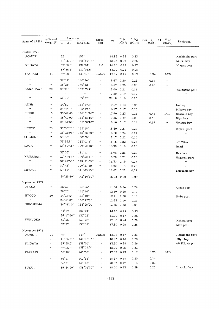|                                       | Location<br>collected       |                                         | depth                |                            | $^{9.0}\rm{Sr}$ | 137Cs        | $(Ce + Pr) - 144$ | $65$ Zn      |                         |                       |
|---------------------------------------|-----------------------------|-----------------------------------------|----------------------|----------------------------|-----------------|--------------|-------------------|--------------|-------------------------|-----------------------|
| Name of $\text{I.P.}\text{H}\,{\ast}$ | weight $(\ell)$             | latitudo                                | longitudo            | (m)                        | Cl              | $(pCi/\ell)$ | $(pCi/\ell)$      | $(pCi/\ell)$ | $(pCi/\ell)$            | Repletion             |
| August 1971                           |                             |                                         |                      |                            |                 |              |                   |              |                         |                       |
| AOMORI                                | $\epsilon$                  | $62^{\circ}$                            | $157^\circ$          | $\prime$ $\prime$          | 18.93           | 0.23         | 0.23              |              |                         | Hachinohe port        |
| $\bar{\ell}$                          | $\epsilon$ $\epsilon$       | 41°16'11"                               | $141^{\circ}10'16"$  | $\epsilon$                 | 18.93           | 0.22         | 0.26              |              |                         | Mutsu bay             |
| NIIGATA                               | $\pmb{\cdots}$              | $37^{\circ}58.5'$                       | 139°04'              | 2.0                        | 16.80           | 0.22         | 0.27              |              |                         | Niigata port          |
| $\bar{\phantom{a}}$                   | $\qquad \qquad \bullet$     | $37^{\circ}56.5'$                       | $139^{\circ}01.5'$   |                            | 18.20           | 0.21         | 0.28              |              |                         |                       |
| IBARAKI                               | 15                          | $37^{\circ}28'$                         | 140°38'              | surface                    | 17.07           | 0.17         | 0.19              | 0.34         | LTD                     |                       |
| $\pmb{\cdot}$                         | $\bar{\alpha}$              | $36^{\circ}17'$                         | 140°36'              | $\epsilon$                 | 18.67           | 0.20         | 0.28              | 0.36         | $\alpha$                |                       |
| $\pmb{\cdot}$                         | $\alpha$                    | 36°21'                                  | $140^{\circ}42'$     | $\epsilon$ .               | 18.07           | 0.25         | 0.25              | 0.46         | $\boldsymbol{\epsilon}$ |                       |
| <b>KANAGAWA</b>                       | 20                          | $35^{\circ}28'$                         | 139°39.4'            | $\bar{\ell}$               | 18.00           | 0.21         | 0.19              |              |                         | Yokohama port         |
| $\bar{r}$ ,                           | $\bar{r}$                   | $\epsilon$                              | $\alpha$             | $\epsilon$ .               | 17.80           | 0.19         | 0.19              |              |                         | $\bar{\epsilon}$      |
| $\epsilon$ .                          | $\epsilon$ .                | $35^\circ 15'$                          | $139^{\circ}37'$     | $\pmb{r}$                  | 20.10           | 0.16         | 0.23              |              |                         |                       |
| AICHI                                 | $\bar{\boldsymbol{\theta}}$ | 34°50'                                  | $136^{\circ}47.6'$   | $\epsilon$                 | 17.67           | 0.14         | 0.23              |              |                         | Ise bay               |
| $\bar{\epsilon}$                      | $\epsilon$ .                | $34^{\circ}44.1"$                       | 137°12.6'            | $\epsilon$ .               | 16.17           | 0.17         | 0.26              |              |                         | Mikawa bay            |
| FUKUI                                 | 15                          | 35°44'40"                               | 136°01'30"           | $\epsilon$ .               | 17.90           | 0.23         | 0.25              | 0.45         | <b>LTD</b>              | Urazoko bay           |
| $\bar{\epsilon}$                      | $\bar{\ell}$                | 35°42'00"                               | $135^{\circ}58'15"$  | $\boldsymbol{\epsilon}$    | 17.86           | 0.27         | 0.28              | 0.61         | $\alpha$                | Niyu bay              |
| $\epsilon$                            | $\mathcal{L}(\mathcal{E})$  | 35°31'30"                               | 135°30'10"           | $\boldsymbol{\epsilon}$    | 18.10           | 0.17         | 0.24              | 0.69         | $\boldsymbol{\alpha}$   | Uchiura bay           |
| KYOTO                                 | 20                          | 35°38'25"                               | $135^\circ 18'$      | $\mathcal{F}(\mathcal{E})$ | 18.40           | 0.21         | 0.24              |              |                         | Miyazu port           |
| $\bar{\ell}$                          | $\epsilon$                  | 35° 33'06"                              | 135°18'40"           | $\mathcal{L}(\mathcal{E})$ | 18.10           | 0.24         | 0.24              |              |                         | $\bar{\phantom{a}}$   |
| <b>SHIMANE</b>                        | $\pmb{\cdot}$               | $35^{\circ}33'$                         | 130°00'              | $\epsilon$ .               | 18.17           | 0.22         | 0.24              |              |                         |                       |
| $\bar{\ell}$                          | $\bar{\phantom{a}}$         | $35^{\circ}32.5'$                       | $133^{\circ}01.5'$   | $\epsilon$ .               | 18.16           | 0.22         | 0.28              |              |                         | off Mitsu             |
| SAGA                                  | $\bar{r}$ ,                 | 33°19'41"                               | 129°50'18"           | $\epsilon$ .               | 13.98           | 0.16         | 0.25              |              |                         | Imari                 |
| $\bar{\ell}$                          | $\bar{\phantom{a}}$         | $33^{\circ}05'$                         | $131^{\circ}11'$     | $\mathcal{F}(\mathcal{E})$ | 13.98           | 0.25         | 0.26              |              |                         | Kashima               |
| NAGASAKI                              | $\pmb{\cdot}$               | 32°42'56"                               | 129°50'11"           | $\epsilon$ $\epsilon$      | 16.20           | 0.21         | 0.28              |              |                         | Nagasaki port         |
| $\ddot{\phantom{0}}$                  | $\bar{\phantom{a}}$         | 32°42'30"                               | 129°51'05"           | $\epsilon$ $\epsilon$      | 16.30           | 0.19         | 0.27              |              |                         | $\bar{r}$             |
| $\bar{\epsilon}$                      | $\bar{r}$ ,                 | $32^{\circ}43'$                         | 129°51'10"           | $\mathcal{F}(\mathbf{r})$  | 16.20           | 0.15         | 0.20              |              |                         | $\bar{\epsilon}$      |
| MIYAGI                                | $\pmb{\cdot}$               | $38^\circ 19'$                          | 141°03'25"           | $\epsilon$ .               | 16.02           | 0.22         | 0.29              |              |                         | Shioqama bay          |
| $\alpha$                              | $\epsilon$                  | 38° 23' 50"                             | 141°30'50"           | $\bar{\epsilon}$           | 16.02           | 0.22         | 0.29              |              |                         |                       |
| September 1971                        |                             |                                         |                      |                            |                 |              |                   |              |                         |                       |
| OSAKA                                 | $\pmb{\cdot}$               | $38^{\circ}30'$                         | $135^{\circ}26'$     | $\epsilon$                 | 11.38           | 0.26         | 0.24              |              |                         | Osaka port            |
| $\bar{\epsilon}$                      | $\epsilon$ .                | 38°20'                                  | 135°24'              | $\bar{\phantom{a}}$        | 12.19           | 0.20         | 0.19              |              |                         | $\bar{\phantom{a}}$   |
| HYOGO                                 | 20                          | $34^{\circ}38'6''$                      | 135°10'5"            | $\epsilon$                 | 12.11           | 0.20         | 0.18              |              |                         | Kobe port             |
| $\bar{\mathbf{z}}$                    | $\bar{\ell}$                | $34^{\circ}40^{\prime}8^{\prime\prime}$ | 135°12'6"            | ×,                         | 12.43           | 0.19         | 0.25              |              |                         | $\boldsymbol{\alpha}$ |
| <b>HIROSHIMA</b>                      | $\epsilon$                  | 34°21'10"                               | 135°25'20            | $\ddot{\phantom{0}}$       |                 | 13.75 0.22   | 0.28              |              |                         |                       |
| $\bar{\ell}$                          | $\pmb{\cdot}$               | $34^{\circ}19'$                         | 132°24'              | $\epsilon$                 | 14.20           | 0.19         | 0.23              |              |                         |                       |
| $\bar{\ell}$                          | $\bar{\phantom{a}}$         | $34^{\circ}$ l 7'40''                   | 132°23'              | $\epsilon$                 | 13.90           | 0.17         | 0.26              |              |                         |                       |
| FUKUOKA                               | $\alpha$                    | $33^{\circ}36'$                         | 130°22'              | $\bar{\phantom{a}}$        | 17.00           | 0.24         | 0.29              |              |                         | Hakata port           |
| $\bar{r}$ ,                           | $\alpha$                    | $33^{\circ}57'$                         | 130°58'              | $\qquad \,$                | 17.80           | 0.25         | 0.28              |              |                         | Moji port             |
| November 1971                         |                             |                                         |                      |                            |                 |              |                   |              |                         |                       |
| <b>AOMORI</b>                         | 20                          | $62^\circ$                              | $157^\circ$          | surface                    | 18.93           | 0.17         | 0.25              |              |                         | Hachinohe port        |
| $\bar{\ell}$                          | ò.                          | 41°16'11"                               | $141^{\circ}10'16''$ | $\alpha$                   | 18.93           | 0.18         | 0.20              |              |                         | Niyu bay              |
| NIIGATA                               | $\cdot$                     | $37^{\circ}58.5'$                       | 139°04'              | $\alpha$                   | 13.80           | 0.28         | 0.26              |              |                         | off Niigata port      |
| $\bar{\ell}$                          | $\epsilon$                  | $37^{\circ}56.5'$                       | $139^{\circ}01.5'$   | $\alpha$                   | 18.20           | 0.25         | 0.23              |              |                         |                       |
| IBARAKI                               | $\epsilon$                  | $36^{\circ}28'$                         | 140°38'              | $\epsilon$ $\epsilon$      | 17.07           | 0.13         | 0.17              | 0.26         | <b>LTD</b>              |                       |
| $\bar{\ell}$                          | ò,                          | $36^{\circ}17'$                         | $140^{\circ}36'$     | $\bar{\ell}$               | 18.67           | 0.18         | 0.20              | 0.24         | $\epsilon$              |                       |
| $\alpha$                              | $\epsilon$ $\epsilon$       | 36°21'                                  | $140^{\circ}42'$     | $\alpha$                   | 18.07           | 0.17         | 0.18              | 0.22         | $\epsilon$              |                       |
| FUKUI                                 | $\epsilon$ $\epsilon$       | 35°44'40"                               | 136°01'30"           | $\alpha$                   | 18.00           | 0.23         | 0.29              | 0.25         | $\epsilon\epsilon$      | Urazoko bay           |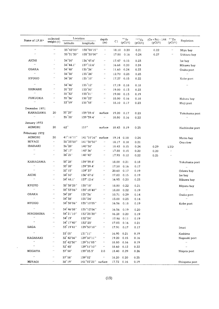| Name of I.P.H*        | collected                  | Location                               |                                               | depth                       |            | $90$ Sr      | 137Cs        | $(Ce + Pr) - 144$ | $^{\circ}$ s $^{\circ}$ zn |                  |
|-----------------------|----------------------------|----------------------------------------|-----------------------------------------------|-----------------------------|------------|--------------|--------------|-------------------|----------------------------|------------------|
|                       | $weight(\ell)$             | latitudo                               | longitudo                                     | (m)                         | C1         | $(pCi/\ell)$ | $(pCi/\ell)$ | $(pCi/\ell)$      | $(pCi/\ell)$               | Repletion        |
| $\bar{r}$             | $\bar{t}$ $\bar{t}$        | 35°42'00"                              | 135°58'15"                                    | $\alpha$                    | 18.10      | 0.20         | 0.21         | 0.22              | $\epsilon$ $\epsilon$      | Miyu bay         |
| $\bar{\ell}$          | $\bar{\epsilon}$           | 35°31'30"                              | 135°30'00"                                    | $\epsilon$                  | 17.80      | 0.16         | 0.24         | 0.27              | $\epsilon$ $t$             | Uchiura bay      |
| AICHI                 | $\pmb{\cdot}$              | $34^{\circ}50'$                        | 136°47.6'                                     | $\bar{\boldsymbol{r}}$      | 17.47      | 0.15         | 0.23         |                   |                            | Ise bay          |
| $\bar{\ell}$          | $\bar{\ell}$               | $34^{\circ}44.1'$                      | 137°12.6'                                     | $\epsilon$ .                | 16.68      | 0.20         | 0.24         |                   |                            | Mikawa bay       |
| OSAKA                 | $\iota$ $\iota$            | $34\,^\circ\!48'$                      | 135°26'                                       | $\epsilon$                  | 11.60      | 0.24         | 0.23         |                   |                            | Osaka port       |
| $\bar{\ell}$          | $\bar{\epsilon}$           | 34°38'                                 | 135°24'                                       | $\qquad \qquad \cdots$      | 12.70      | 0.23         | 0.23         |                   |                            | $\bar{\ell}$     |
| <b>HYOGO</b>          | $\epsilon$                 | $34^{\circ}38'$                        | 135°10'                                       | $\cdot$                     | 17.27      | 0.15         | 0.22         |                   |                            | Kobe port        |
| $\bar{\ell}$          | $\epsilon$ $\epsilon$      | 34°46'                                 | 135°12'                                       | $\alpha$                    | 17.19      | 0.18         | 0.18         |                   |                            | $\bar{\epsilon}$ |
| SHIMANE               | $\epsilon$ $\epsilon$      | 35°33'                                 | 133°00'                                       | $\bar{\alpha}$              | 19.00      | 0.13         | 0.23         |                   |                            |                  |
| $\bar{\ell}$          | $\bar{\epsilon}$           | 35°32'                                 | 133°01'                                       | $\epsilon$ .                | 19.00      | 0.13         | 0.19         |                   |                            |                  |
| <b>FUKUOKA</b>        | $\epsilon$                 | 35°36'                                 | $130^{\circ}22'$                              | $\epsilon$                  | 18.00      | 0.16         | 0.18         |                   |                            | Hakata bay       |
| $\bar{\ell}$          | $\bar{\ell}$               | 33°59'                                 | $130^{\circ}58'$                              | $\epsilon$                  |            | 18.10 0.17   | 0.23         |                   |                            | Moji port        |
| December 1971         |                            |                                        |                                               |                             |            |              |              |                   |                            |                  |
| <b>KANAGAWA</b>       | 20                         | $35^{\circ}28"$                        | 139°39.4'                                     | surface                     | 19.20      | 0.17         | 0.23         |                   |                            | Yokohama port    |
| $\bar{\ell}$          | $\alpha$                   | $\bf 35\degree 28'$                    | 139°39.4'                                     | $\bar{\boldsymbol{\theta}}$ | 18.80      | 0.16         | 0.22         |                   |                            | $\bar{\ell}$     |
| January 1972          |                            |                                        |                                               |                             |            |              |              |                   |                            |                  |
| AOMORI                | 20                         | $62^{\circ}$                           | $157^\circ$                                   | surface                     |            | 18.43 0.19   | 0.25         |                   |                            | Hachinohe port   |
| Feburuary 1972        |                            |                                        |                                               |                             |            |              |              |                   |                            |                  |
| AOMORI                | 20                         | $41^{\circ}16'11''$                    | $141^{\circ}10'16''$                          | surface                     |            | 19.14 0.18   | 0.24         |                   |                            | Mutsu bay        |
| MIYAGI                | $\epsilon$ .               | 38°23'50"                              | 141°30'50"                                    | $\epsilon$                  | 18.17      | 0.18         | 0.21         |                   |                            | Ona river        |
| IBARAKI               | $\epsilon$                 | $36\,^{\circ}28'$                      | 140°38'                                       | $\epsilon$ $\epsilon$       | 18.43      | 0.15         | 0.24         | 0.29              | LTD                        |                  |
| $\bar{\ell}$          | $\bar{\epsilon}$           | $36^{\circ}$ 17'                       | $140^{\circ} 36'$                             | $\epsilon$ .                | 17.88      | 0.15         | 0.20         | 0.20              | $\bar{\ell}$               |                  |
| $\bar{\ell}$          | $\epsilon$                 | $36^\circ 21'$                         | 140°42'                                       | $\alpha$                    | 17.93      | 0.12         | 0.22         | 0.25              | $\epsilon$                 |                  |
| <b>KANAGAWA</b>       | $\epsilon$ $\epsilon$      | $35^\circ 28'$                         | 139°39.4'                                     | $\pmb{\cdot}$               | 18.00      | 0.21         | 0.18         |                   |                            | Yokohama port    |
| $\bar{\ell}$          | $\bar{\epsilon}$           | $35^{\circ}$ $28^{\prime}$             | 139°39.4'                                     | $\epsilon$ $\epsilon$       | 17.50      | 0.16         | 0.17         |                   |                            | $\bar{\ell}$     |
| $\bar{\phantom{a}}$   | $\epsilon$ .               | $35^\circ\,15'$                        | $139^{\circ}37'$                              | $\mathcal{F}(\mathcal{E})$  | 20.60      | 0.17         | 0.19         |                   |                            | Odawa bay        |
| <b>AICHI</b>          | $\epsilon$ $\epsilon$      | 34° 50'                                | 136°47.6'                                     | $\boldsymbol{\epsilon}$     | 17.82      | 0.15         | 0.19         |                   |                            | Ise bay          |
| $\alpha$              | $\alpha$                   | $34^{\circ}$ 44.1'                     | 137° 12.6'                                    | $\mathcal{L}(\mathcal{E})$  | 16.93 0.20 |              | 0.23         |                   |                            | Mikawa bay       |
| <b>KYOTO</b>          | $\bar{\epsilon}$           | $35^\circ\,38^\prime25^{\prime\prime}$ | 135°18'                                       | $\bar{\phantom{a}}$         | 18.80      | 0.22         | 0.21         |                   |                            | Miyazu bay       |
| $\bar{\epsilon}$      | $\bar{\ell}$               | 35° 33'06"                             | $135^{\circ} 18'40''$                         | $\boldsymbol{\alpha}$       | 18.80      | 0.22         | 0.19         |                   |                            | $\bar{\ell}$     |
| <b>OSAKA</b>          | $\bar{\ell}$               | $34^{\circ} 28'$                       | 135°26'                                       | $\bar{\phantom{a}}$         | 10.71      | 0.29         | 0.14         |                   |                            | Osaka port       |
| $\bar{\epsilon}$      | $\alpha$                   | $34^{\circ} 38'$                       | 135°24'                                       | $\alpha$                    | 13.00      | 0.23         | 0.14         |                   |                            | $\qquad \qquad$  |
| <b>HYOGO</b>          | $\bar{\ell}$               | 34° 38'06"                             | 135°10'05"                                    | $\boldsymbol{\epsilon}$     | 16.56 0.18 |              | 0.19         |                   |                            | Kobe port        |
| $\alpha$              | $\alpha$                   | 34° 46' 08"                            | $135\,^\circ\!12\,^\prime\!06^{\prime\prime}$ | $\bar{\epsilon}$            | 16.56 0.19 |              | 0.20         |                   |                            | $\bar{\ell}$     |
| HIROSHIMA             | $\epsilon$                 | 34° 21'10"                             | 132°25'20"                                    | $\epsilon$                  | 16.28 0.20 |              | 0.19         |                   |                            |                  |
| $\alpha$              | $\mathcal{F}(\mathcal{E})$ | $34^\circ\,19'$                        | 132°24'                                       | $\boldsymbol{\theta}$       | 17.90 0.11 |              | 0.19         |                   |                            |                  |
| $\boldsymbol{\alpha}$ | $\epsilon$                 | 34° 17'40"                             | $132^{\circ}23'$                              | $\epsilon$                  | 17.83 0.16 |              | 0.21         |                   |                            |                  |
| SAGA                  | $\epsilon$ $\epsilon$      | $33^{\circ}$ 19'41"                    | $129°50'18"$                                  | $\boldsymbol{\epsilon}$     | 17.91      | 0.17         | 0.17         |                   |                            | Imari            |
| $\alpha$              | $\epsilon$                 | $33^\circ 05'$                         | 131°11'                                       | $\epsilon$ $\epsilon$       | 16.95      | 0.21         | 0.19         |                   |                            | Kashima          |
| NAGASAKI              | $\epsilon$ .               | 32° 42'56"                             | $129^{\circ}50'11''$                          | $\alpha$                    | 19.20      | 0.15         | 0.16         |                   |                            | Nagasaki port    |
| $\bar{\epsilon}$      | $\epsilon$                 | 32°42'30"                              | $129^{\circ}51'05"$                           | $\boldsymbol{\epsilon}$     | 18.80      | 0.16         | 0.19         |                   |                            | $\sim$ 100 $\mu$ |
| $\epsilon$            | $\epsilon$ .               | $32^{\circ}\,43'$                      | 129°51'10"                                    | $\boldsymbol{\epsilon}$     | 18.60      | 0.12         | 0.22         |                   |                            | $\bar{\epsilon}$ |
| NIIGATA               | $\epsilon$ .               | $37^{\circ}$ $58^{\prime}$             | 139°03.3'                                     | 2.0                         | 18.40      | 0.29         | 0.26         |                   |                            | Niigata port     |
| $\bar{\epsilon}$      | $\alpha$                   | $37^\circ 58'$                         | 139°02'                                       | $\boldsymbol{\alpha}$       | 18.20      | 0.20         | 0.25         |                   |                            |                  |
| MIYAGI                | $\boldsymbol{\epsilon}$    | $38^\circ 19'$                         | $141^{\circ}$ 03'25" surface                  |                             | 17.72 0.16 |              | 0.19         |                   |                            |                  |
|                       |                            |                                        |                                               |                             |            |              |              |                   |                            | Shiogama port    |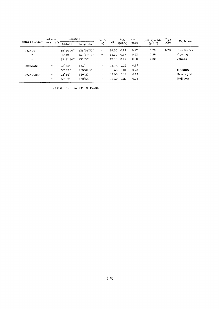|                   | collected                  | Location            |                      |                         | depth          |              | $90$ Sr      | $137$ Cs     | $(Ce+Pr) - 144$ | $65$ Zn     | Repletion |
|-------------------|----------------------------|---------------------|----------------------|-------------------------|----------------|--------------|--------------|--------------|-----------------|-------------|-----------|
| Name of $I.P.H.*$ | weight $(\ell)$            | latitudo            | longitudo            | (m)                     | C <sub>1</sub> | $(pCi/\ell)$ | $(pCi/\ell)$ | $(pCi/\ell)$ | $(pCi/\ell)$    |             |           |
| <b>FUKUI</b>      | $\mathcal{L}(\mathcal{C})$ | $35^{\circ}44'40''$ | 136°01'30"           | $\cdots$                | 18.30          | 0.14         | 0.17         | 0.20         | LTD             | Urazoko bay |           |
| $\mathbf{r}$      | $\epsilon$                 | $35^\circ 42'$      | $135^{\circ}58'15''$ | $\bullet$               | 18.30          | 0.17         | 0.23         | 0.29         | $\pmb{\cdots}$  | Nivu bay    |           |
| $\cdots$          | $\mathcal{L}(\mathcal{E})$ | $35^{\circ}31'30''$ | $135^{\circ}30'$     | $\cdots$                | 17.90          | 0.19         | 0.20         | 0.20         | $\cdots$        | Uchiura     |           |
| <b>SHIMANE</b>    | $\cdots$                   | $35^\circ 33'$      | $133^\circ$          | $\mathbf{r}$            | 18.74          | 0.22         | 0.17         |              |                 |             |           |
| $\mathbf{r}$      | $\epsilon$ $\epsilon$      | $35^{\circ}32.5'$   | 133°01.5'            | $\boldsymbol{\epsilon}$ | 18.68          | 0.21         | 0.23         |              |                 | off Mitsu   |           |
| <b>FUKUOKA</b>    | $\epsilon$                 | $33^\circ 36'$      | $130^{\circ}22'$     | $\bullet$               | 17.50          | 0.16         | 0.22         |              |                 | Hakata port |           |
| $\epsilon$        | $\mathcal{F}$ .            | $33^\circ 57'$      | $130^{\circ}58'$     | $\cdots$                | 18.30          | 0.20         | 0.25         |              |                 | Moji port   |           |

 $\star$  I.P.H.: Institute of Public Health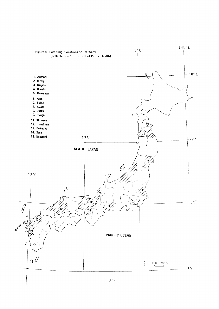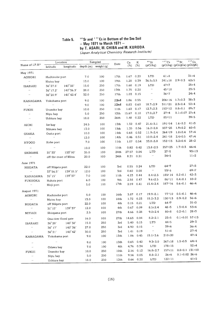### $T$ able 5. $\sim$  Sr and  $\sim$  Cs in Bottom  $\frac{1}{2}$   $\frac{1}{2}$   $\frac{1}{2}$   $\frac{1}{2}$   $\frac{1}{2}$   $\frac{1}{2}$   $\frac{1}{2}$   $\frac{1}{2}$   $\frac{1}{2}$   $\frac{1}{2}$   $\frac{1}{2}$   $\frac{1}{2}$   $\frac{1}{2}$   $\frac{1}{2}$   $\frac{1}{2}$   $\frac{1}{2}$   $\frac{1}{2}$   $\frac{1}{2}$   $\frac{1}{2}$   $\frac{1}{2}$   $\frac{1}{2}$   $\frac{1}{2$ by T. ASARI, M. CHIDA and 伍p∂〃月〃∂′yr′c∂′C加血∫町伽s朗rC力/〃dr畑ノ

|                                       | Location               |                     |          | Sampled      | Date             | Ca     | $\rm K$     | $90$ Sr                    | $137$ Cs     | $90$ Sr                     | 137Cs      |
|---------------------------------------|------------------------|---------------------|----------|--------------|------------------|--------|-------------|----------------------------|--------------|-----------------------------|------------|
| Name of $\text{I.P.}\text{H}^{\star}$ | latitudo               | longitudo           | depth(m) | weight $(q)$ |                  | $(\%)$ | $(\%)$      | (pCi/kg)                   |              | (pCi/kg) (pCi/gCa) (pCi/gK) |            |
| May 1971                              |                        |                     |          |              |                  |        |             |                            |              |                             |            |
| <b>AOMORI</b>                         | Hachinohe port         |                     | 7.0      | 100          | 17th             | 1.67   | 0.20        | <b>LTD</b>                 | $61 \pm 8$   |                             | $31 \pm 4$ |
| $\epsilon$ .                          | Mutsu bay              |                     | 13.0     | 100          | 19th             | 1.28   | 0.39        | $36.5 \pm 3.5$             | $241 \pm 18$ | $2.9 \pm 0.3$               | $62 \pm 5$ |
| IBARAKI                               | $36^{\circ} 27.8'$     | $140^{\circ}38'$    | 15.0     | 250          | 17th             | 1.68   | 0.19        | LTD                        | $47 - 7$     |                             | $25 \pm 4$ |
| $\epsilon$                            | $36^{\circ}$ 17.2'     | $140^{\circ}36.3'$  | 28.0     | 250          | 17th             | 1.75   | 0.20        | $\boldsymbol{\epsilon}$    | 45±10        |                             | $23 \pm 5$ |
| $\mathcal{F}(\mathcal{E})$            | 36°20.9'               | $140^{\circ}$ 42.4' | 32.0     | 250          | 17th             | 1.03   | 0.15        | $\pmb{\cdot}$              | $36+7$       |                             | $24 \pm 4$ |
| KANAGAWA                              | Yokohama port          |                     | 9.0      | 100          | 22nd             | 1.86   | 0.55        | $\boldsymbol{\alpha}$      | $206 \pm 16$ | $1.7 \pm 0.3$               | $38 + 3$   |
| $\alpha$                              | $\epsilon$ .           |                     | 9.0      | 100          | 22nd             | 0.83   | 0.60        | $18.7 \pm 2.9$             | 311±21       | $2.3 \pm 0.4$               | $52 + 4$   |
| FUKUI                                 | Urazoko bay            |                     | 10.0     | 250          | 11th             | 1.63   | 0.17        | $12.7 \pm 2.3$             | $152 = 12$   | $0.8{\pm}0.1$               | $89 + 7$   |
| $\bar{\ell}$                          | Niyu bay               |                     | 5.0      | 250          | 12 <sub>th</sub> | 15.67  | 0.10        | $17.0 \pm 2.7$             | $27 + 4$     | $0.1\pm0.07$ 27 $\pm4$      |            |
| $\epsilon$ $t$                        | Uchiura bay            |                     | 18.0     | 250          | 26th             | 1.48   | 0.22        | <b>LTD</b>                 | $85 - 11$    |                             | 39±5       |
| AICHI                                 | Ise bay                |                     | 24.5     | 100          | 13th             | 1.32   | 0.47        | $21.6 \pm 3.1$             | $191 - 14$   | $1.6 \pm 0.2$               | 41:3       |
| $\alpha$                              | Mikawa bay             |                     | 13.0     | 100          | 13th             | 1.35   | 0.56        | $16.2 \pm 2.8$             | 337 ± 25     | $1.9 + 0.2$                 | 60:5       |
| OSAKA                                 | Osaka port             |                     | 10.0     | 100          | 14th             | 0.68   | 0.52        | $11.9 \pm 2.4$             | $264 + 19$   | $1.8 + 0.4$                 | $57 + 4$   |
| $\bar{\ell}$                          | $\alpha$               |                     | 12.0     | 100          | 14th             | 0.46   | 0.51        | $10.8 \pm 2.4$             | 241 ±18      | $2.4 \pm 0.5$               | $47 + 4$   |
| HYOGO                                 | Kobe port              |                     | 7.0      | 100          | llth             | 1.07   | 0.54        | $33.8 + 3.8$               | $152 \pm 13$ | $3.2 \pm 0.4$               | $28 + 2$   |
| $\alpha$                              | $\bar{\ell}$           |                     | 10.0     | 100          | 11th             | 0.82   | 0.42        | $13.8 + 2.5$               | 257 ± 25     | $1.7 \pm 0.3$               | 66±6       |
| SHIMANE                               | $35^\circ 33'$         | $133^{\circ}00'$    | 35.0     | 100          | 24th             | 27.57  | 0.04        | LTD                        | $37 - 5$     |                             | $93 + 13$  |
| $\epsilon\,\epsilon$                  | off the coast of Mitsu |                     | 20.0     | 100          | 24th             | 8.21   | 0.31        | $\alpha$                   | $34 + 5$     |                             | 11±2       |
| June 1971                             |                        |                     |          |              |                  |        |             |                            |              |                             |            |
| NIIGATA                               | off Niigata port       |                     | 22.0     | 100          | 3rd              | 0.55   | 0.24        | LTD                        | 64 ±7        |                             | $27 + 3$   |
| $\epsilon$                            | $37^{\circ}56.5'$      | 139°01.5'           | 12.0     | 100          | 3rd              | 0.60   | 0.08        | $\mathcal{F}(\mathcal{E})$ | $55 + 6$     |                             | $69 + 7$   |
| KANAGAWA                              | $35^\circ 15'$         | $139^{\circ}37'$    | 7.0      | 100          | llth             | 4.23   | 0.44        | $8.4 + 2.3$                | 185 ±14      | $0.2 \pm 0.1$               | $42 + 3$   |
| FUKUOKA                               | Hakata port            |                     | 6.0      | 100          | 9th              | 2.58   | 0.47        | $9.6 \pm 2.5$              | $86^{\pm}11$ | $0.4 \pm 0.1$               | $18 + 2$   |
| $\alpha$                              | Moji port              |                     | 5.0      | 100          | 17th             | 2.59   | 0.41        | $15.4 \pm 2.4$             | $187 - 16$   | $0.6 \pm 0.1$               | $46 + 4$   |
|                                       |                        |                     |          |              |                  |        |             |                            |              |                             |            |
| August 1971<br>AOMORI                 | Hachinohe port         |                     | 5.0      | 100          | 16th             | 3.87   | 0.17        | $19.9 \pm 3.1$             | $77 - 10$    | $0.5 \pm 0.1$               | 46:56      |
| $\alpha$                              | Mutsu bay              |                     | 13.0     | 100          | 18th             | 1.72   | 0.23        | $15.2 \pm 3.2$             | $130 - 13$   | 0.91 0.2                    | 56±6       |
| NIIGATA                               | off Niigata port       |                     | 22.0     | 100          | 4th              | 0.15   | 0.21        | LTD                        | 64 ±7        |                             | 31±3       |
| $\bar{\ell}$                          | $31^\circ 15'$         | $139^{\circ}37'$    | 12.0     | 100          | 4th              | 0.67   | 0.09        | $8.5 \pm 2.4$              | $48 + 5$     | $1.3 \pm 0.4$               | $53 + 6$   |
| MIYAGI                                | Shioqama port          |                     | 2.5      | 100          | 27th             | 4.66   | 0.28        | $9.0 \pm 2.4$              | $80 \pm 8$   | $0.2 \pm 0.1$               | $28 + 3$   |
| $\epsilon$ $\epsilon$                 | Ona river flood gate   |                     | 16.0     | 100          | 27th             | 14.63  | 0.04        | $8.2 \pm 2.1$              | 23:5         | $0.1 \pm 0.01$ 57 $\pm$ 13  |            |
| IBARAKI                               | $36^{\circ}$ 28'       | $140^{\circ}38'$    | 15.0     | 250          | 3rd              | 5.40   | 0.15        | LTD                        | $44 + 5$     |                             | $29 \pm 3$ |
| $\epsilon$                            | $36^\circ$ 17'         | $140^{\circ} 36'$   | 27.0     | 250          | 3rd              | 4.90   | 0.15        | $\epsilon$                 | 39±6         |                             | 26:4       |
| $\epsilon$                            | $36^{\circ}21'$        | $140^{\circ}42'$    | 30.0     | 250          | 3rd              | 1.41   | 0.19        | $\epsilon$                 | $51 \pm 8$   |                             | $27 + 4$   |
| KANAGAWA                              | Yokohama port          |                     | 9.0      | 100          | 13th             | 1.86   | 0.45        | $15.1 \pm 3.6$             | 210±20       |                             | $47\pm4$   |
| $\epsilon$ $\epsilon$                 | $\bar{\ell}$           |                     | 9.0      | 100          | 13th             | 0.65   | 0.42        | $9.3 \pm 3.0$              | $267 \pm 18$ | $1.5 \pm 0.5$               | $64 \pm 4$ |
| $\bar{\ell}$                          | Odawa bay              |                     | 7.0      | 100          | 4th              | 4.76   | 0.34        | LTD                        | $178 \pm 15$ |                             | $52 + 4$   |
| FUKUI                                 | Urazoko bay            |                     | 10.0     | 250          | 10th             | 2.16   | 0.12        | $16.8 \pm 2.7$             | $157 \pm 11$ | $0.8 \pm 0.1$ 131 $\pm 10$  |            |
| $\epsilon$                            | Niyu bay               |                     | $5.0\,$  | 250          | 11th             | 9.56   | 0.05        | $8.8 \pm 2.1$              | 26:6         | $0.1 \pm 0.02$ 26 $\pm 6$   |            |
| $\epsilon$ .                          | Uchiura bay            |                     | 18.0     | 250          | 12th             |        | $0.66$ 0.20 | LTD                        | $122 + 11$   |                             | 61:5       |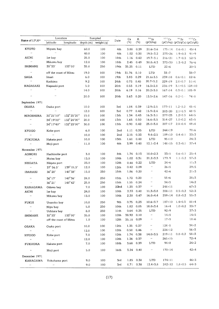| Name of I.P.H*<br>KYOTO<br>$\alpha$ | latitudo                   | longitudo           | $depth(m)$ weight $(g)$ |     | Date             | Ca<br>(%) | к<br>(%)    | $90$ Sr<br>(pCi/kg)        | $137$ Cs                     | $^{9.0}\rm{Sr}$<br>$(pCi/kg)$ (pCi/gCa) (pCi/gK) | $137$ Cs               |
|-------------------------------------|----------------------------|---------------------|-------------------------|-----|------------------|-----------|-------------|----------------------------|------------------------------|--------------------------------------------------|------------------------|
|                                     |                            |                     |                         |     |                  |           |             |                            |                              |                                                  |                        |
|                                     | Miyazu bay                 |                     | 60.0                    | 100 | 4th              | 3.88      | 0.39        | $21.6 \pm 3.6$             | 175±14                       | $0.6 \pm 0.1$                                    | $45 + 4$               |
|                                     | $\sim 100$                 |                     | 40.0                    | 100 | 4th              | 1.02      | 0.30        | $19.5 \pm 3.2$             | $273 + 26$                   | $1.9 \pm 0.3$                                    | 91:9                   |
| AICHI                               | Ise bay                    |                     | 25.0                    | 100 | 18th             | 1.16      | 0.42        | $19.7 \pm 3.1$             | 216:21                       | $1.7 \pm 0.3$                                    | 52:5                   |
| $\boldsymbol{\vartheta}$            | Mikawa bay                 |                     | 12.0                    | 100 | 18th             | 2.45      | 0.49        | $30.8 \pm 4.3$             | $373 + 30$                   | $1.3 \pm 0.2$                                    | 76:5                   |
| SHIMANE                             | $35^\circ 33'$             | 133°00'             | 35.0                    | 250 | 19th             | 35.25     | 0.11        | <b>LTD</b>                 | $22 \pm 6$                   |                                                  | $20 \pm 5$             |
| $\boldsymbol{\epsilon}$             | off the coast of Mitsu     |                     | 19.0                    | 100 | 19 <sub>th</sub> | 31.76     | 0.10        | <b>LTD</b>                 | $38 + 7$                     |                                                  | $38 + 7$               |
| SAGA                                | Imari                      |                     | 6.0                     | 100 | 19th             | 3.83      | 0.29        | $21.6 \pm 3.5$             | $239 \pm 18$                 | $0.6 \pm 0.1$                                    | $82 + 6$               |
| $\bar{\ell}$                        | Kashima                    |                     | 9.2                     | 100 | 24th             | 0.73      | 0.45        | $20.7 \pm 5.2$             | $229 \pm 19$                 | $2.8 \pm 0.7$                                    | $51 \pm 4$             |
| NAGASAKI                            | Naqasaki port              |                     | 5.0                     | 100 | 20th             | 0.53      | 0.19        | $16.3 \pm 2.8$             | 236±19                       | $3.1 \pm 0.5$ $124 \pm 10$                       |                        |
| $\bar{\ell}$                        | $\alpha$                   |                     | 14.0                    | 100 | 20th             | 6.19      | 0.16        | $20.2 \pm 3.0$             | $167 \pm 14$                 | $0.3 \pm 0.1$ 105 $\pm$ 9                        |                        |
| $\boldsymbol{\alpha}$               | $\bar{\phantom{a}}$        |                     | 20.0                    | 100 | 20th             | 5.63      | 0.20        | $13.5 \pm 2.6$             | $147 + 16$                   | $0.2 + 0. +$                                     | $74 + 8$               |
| September 1971                      |                            |                     |                         |     |                  |           |             |                            |                              |                                                  |                        |
| OSAKA                               | Osaka port                 |                     | 10.0                    | 100 | 3rd              | 1.04 0.39 |             | $12.9 \pm 2.5$             | $177 \pm 11$                 | $1.2 + 0.2$                                      | 45:4                   |
| $\bar{\epsilon}$                    | $\alpha$                   |                     | 12.0                    | 100 | 3rd              | 0.77      | 0.42        | $15.9 \pm 2.4$             | $203 \pm 20$                 | $2.1 \pm 0.3$                                    | $48 + 5$               |
| <b>HIROSHIMA</b>                    | $35^{\circ}21'10''$        | 132° 25' 20"        | 15.0                    | 100 | 13th             | 1.34      | 0.43        | $16.3 \pm 3.1$             | $277 \pm 23$                 | $1.2 \pm 0.3$                                    | $64 \pm 5$             |
| $\pmb{\cdot}$                       | 34°19'00"                  | 132° 24'00"         | 20.0                    | 100 | 13th             | 1.65      | 0.50        | $16.6 \pm 3.5$             | $314 \pm 27$                 | $1.0 \pm 0.2$                                    | $63 + 5$               |
| $\cdot$                             | 34°17'40"                  | 132°23'00"          | 30.0                    | 100 | 13th             | 0.90      | 0.42        | $25.0 + 3.8$               | $207 \pm 17$                 | $2.8 \pm 0.4$                                    | $49 + 4$               |
| <b>KYOGO</b>                        | Kobe port                  |                     | 6.0                     | 100 | 2nd              | 1.11      | 0.35        | <b>LTD</b>                 | $244 + 19$                   |                                                  | 70:6                   |
| $\mathcal{F}(\mathcal{C})$          | $\alpha$                   |                     | 10.0                    | 100 | 2nd              | 2.15      | 0.33        | $9.4 \pm 2.5$              | $109 \pm 10$                 | $0.4 \pm 0.1$                                    | $33+3$                 |
| FUKUOKA                             | Hakata port                |                     | 10.0                    | 100 | 13th             | 1.61      | 0.40        | <b>LTD</b>                 | $95 \pm 10$                  |                                                  | $24 \pm 3$             |
| $\bar{r}$                           | Moji port                  |                     | 11.0                    | 100 | 4th              | 3.99      | 0.40        | $12.1 \pm 2.4$             | $148 + 15$                   | $0.3 \pm 0.1$                                    | $37 + 4$               |
| November 1971                       |                            |                     |                         |     |                  |           |             |                            |                              |                                                  |                        |
| AOMORI                              | Hachinohe port             |                     | 3.0                     | 100 | 8th              | 1.74      | 0.13        | $10.0 \pm 2.3$             | $33 + 5$                     | $0.6 \pm 0.1$                                    | $25 + 4$               |
| $\alpha$                            | Mutsu bay                  |                     | 13.0                    | 100 | 10th             | 1.02      | 0.31        | $21.2 \pm 3.3$             | 177:9                        | $1.1 \pm 0.2$                                    | 57 <sub>1</sub> 3      |
| NIIGATA                             | Niigata port               |                     | 23.0                    | 100 | 12th             | 0.48      | 0.22        | LTD                        | 24:6                         |                                                  | $11\pm3$               |
| $\epsilon$                          | $37^{\circ} 56.5'$         | $139^{\circ} 01.5'$ | 12.0                    | 100 | 12th             | 0.42      | 0.09        | $\boldsymbol{\epsilon}$    | $26 + 5$                     |                                                  | $29 + 5$               |
| IBARAKI                             | $36^{\circ}28'$            | $140^{\circ}38'$    | 15.0                    | 250 | 15th             | 1.86      | 0.20        | $\boldsymbol{\alpha}$      | $42 + 6$                     |                                                  | $21 \pm 3$             |
|                                     |                            |                     |                         |     |                  |           | 0.20        | $\epsilon$ .               | 55±6                         |                                                  | $28 \pm 3$             |
| $\alpha$                            | $36^{\circ}17'$            | $140^{\circ}36'$    | 24.0                    | 250 | 15th             | 1.72      |             | $\pmb{\cdot}$              |                              |                                                  |                        |
| $\mathbf{r}$                        | $36^{\circ}21'$            | $140^{\circ}42'$    | 25.0                    | 250 | 15th             | 1.55      | 0.24        | $\mathcal{F}(\mathcal{E})$ | $34 \pm 5$                   |                                                  | $14\pm 2$              |
| KANAGAWA                            | Odawa bay                  |                     | 7.0                     | 100 | 22nd             | 1.23      | 0.37        |                            | $248 \pm 11$                 |                                                  | $67 + 3$               |
| AICHI                               | Ise bay                    |                     | 24.0                    | 100 | 10th             | 2.33      | 0.40        | $11.3 \pm 3.8$             | $208 \pm 11$<br>$259 \pm 14$ | $0.5 + 0.2$                                      | $52 \pm 3$<br>$55 + 3$ |
| $\alpha$                            | Mikawa bay                 |                     | 13.0                    | 100 | 10th             | 2.20      | 0.47        | $16.0{\pm}4.4$             |                              | $0.8 \pm 0.2$                                    |                        |
| FUKUI                               | Urazoko bay                |                     | 10.0                    | 250 | 9th              |           | 0.75 0.23   | $10.6 \pm 3.7$             | 187±10                       | $1.4 \pm 0.5$                                    | $81 + 4$               |
| $\alpha$                            | Niyu bay                   |                     | 5.0                     | 250 | 10th             | 1.82      | 0.05        | $18.0 \pm 3.4$             | $16\pm4$                     | $1.0 \pm 0.2$                                    | $33 + 7$               |
| $\epsilon$                          | Uchiura bay                |                     | 8.0                     | 250 | llth             | 0.64      | 0.25        | LTD                        | $92 + 9$                     |                                                  | $37 + 3$               |
| SHIMANE                             | $35^\circ 33'$             | 133°00'             | 35.0                    | 100 | 12th             | 38.92     | 0.10        | $\epsilon$                 | $14\pm5$                     |                                                  | 14:5                   |
| $\boldsymbol{\theta}$               | off the coast of Mitsu     |                     | 1.0                     | 100 | 12th             | 35.18     | 0.09        | $\cdot$                    | $17+5$                       |                                                  | 18:6                   |
| OSAKA                               | Osaka port                 |                     | 10.0                    | 100 | 12th             | 1.35 0.37 |             | $\epsilon$                 | $124 + 8$                    |                                                  | $34 + 2$               |
| $\alpha$ .                          | $\epsilon \, \epsilon$     |                     | 12.0                    | 100 | 12th             |           | $0.50$ 0.46 | $\boldsymbol{\theta}$      | $224 + 12$                   |                                                  | $56 + 3$               |
| <b>HYOGO</b>                        | Kobe port                  |                     | 7.0                     | 100 | 12th             |           | 1.74 0.38   | $14.0 \pm 3.5$             | $219+11$                     | $0.8 \pm 0.2$                                    | $58 + 3$               |
| $\alpha$                            | $\alpha$                   |                     | 12.0                    | 100 | 12th             | 1.36      | 0.37        | $\alpha$                   | $265 \pm 15$                 |                                                  | $72 \pm 4$             |
| <b>FUKUOKA</b>                      | Hakata port                |                     | 7.0                     | 100 | 18th             |           | 3.68 0.39   | LTD                        | $94 \pm 8$                   |                                                  | $24 \pm 2$             |
| $\epsilon \epsilon$                 | Moji port                  |                     | 5.0                     | 100 | 16th             |           | 3.24 0.40   | $\epsilon$                 | $170 \pm 14$                 |                                                  | $42 + 4$               |
| December 1971                       |                            |                     |                         |     |                  |           |             |                            |                              |                                                  |                        |
| KANAGAWA                            | Yokohama port              |                     | 9.0                     | 100 | 3rd              |           | 1.85 0.38   | <b>LTD</b>                 | $174 \pm 11$                 |                                                  | 46:3                   |
| $\bar{\ell}$                        | $\mathcal{O}(\mathcal{E})$ |                     | 9.0                     | 100 | 3rd              |           | $0.71$ 0.38 | $12.4 \pm 3.8$             |                              | $242 \pm 12$ $1.8 \pm 0.5$ $64 \pm 3$            |                        |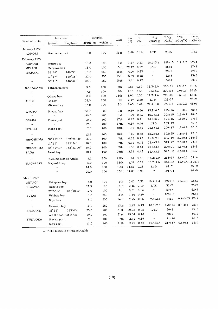|                            | Location               |                         | Sampled   |              |                  | Ca    | K         | $90$ Sr                 | $137$ Cs     | $90$ Sr                     | 137Cs          |
|----------------------------|------------------------|-------------------------|-----------|--------------|------------------|-------|-----------|-------------------------|--------------|-----------------------------|----------------|
| Name of I.P.H.*            | latitudo               | longitudo               | depth (m) | weight $(q)$ | Date             | (%)   | $(\%)$    | (pCi/kg)                |              | (pCi/kg) (pCi/gCa) (pCi/gK) |                |
| January 1972               |                        |                         |           |              |                  |       |           |                         |              |                             |                |
| AOMORI                     | Hachinohe port         |                         | 5.0       | 100          | 31 st            | 1.49  | 0.16      | LTD                     | $28 \pm 5$   |                             | $17+3$         |
| February 1972              |                        |                         |           |              |                  |       |           |                         |              |                             |                |
| AOMORI                     | Mutsu bay              |                         | 13.0      | 100          | 1st              | 1.67  | 0.33      | $28.5 \pm 3.1$          | $188 + 15$   | $1.7 \pm 0.2$               | $57 + 4$       |
| MIYAGI                     | Onagawa bay            |                         | 15.0      | 100          | 3rd              | 22.42 | 0.07      | LTD                     | $26 \pm 8$   |                             | $37 + 8$       |
| IBARAKI                    | 36° 28′                | $140^{\circ}38'$        | 18.0      | 250          | 25th             | 4.00  | 0.23      | $\bar{\ell}$            | 39:5         |                             | 17:2           |
| $\bar{\epsilon}$           | $36^{\circ}17'$        | $140^{\circ}36'$        | 22.0      | 250          | 25 <sub>th</sub> | 3.39  | 0.18      | $\boldsymbol{\epsilon}$ | $42 + 5$     |                             | $23 + 3$       |
| $\boldsymbol{r}$ ,         | $36^\circ 21'$         | $140^{\circ}42'$        | 35.0      | 250          | 25th             | 2.41  | 0.17      | $\boldsymbol{\epsilon}$ | $34 + 4$     |                             | $20 \pm 2$     |
| KANAGAWA                   | Yokohama port          |                         | 9.0       | 100          | 8th              | 0.86  | 0.34      | $16.3 \pm 5.0$          | $256 \pm 21$ | $1.9 + 0.6$                 | $75 + 6$       |
| $\bar{\phantom{a}}$        | $\bar{t}$ .            |                         | 7.6       | 100          | 8th              | 1.13  | 0.36      | $9.6 \pm 3.3$           | $204 \pm 18$ | $0.9 + 0.3$                 | $57 + 5$       |
| $\bar{\phantom{a}}$        | Odawa bay              |                         | 8.0       | 100          | 18th             | 3.92  | 0.35      | $12.3 + 4.6$            | $228 + 22$   | $0.3 \pm 0.1$               | $65 \pm 6$     |
| AICHI                      | Ise bay                |                         | 24.0      | 100          | 8th              | 2.49  | 2.50      | LTD                     | $126 \pm 12$ |                             | $25 \pm 2$     |
| $\pmb{\cdot}$              | Mikawa bay             |                         | 13.0      | 100          | 8th              | 2.60  | 0.44      | $21.4 \pm 5.8$          | $198 \pm 15$ | $0.8 + 0.2$                 | $45 + 4$       |
| KYOTO                      | Miyazu bay             |                         | 57.0      | 100          | 1st              | 0.89  | 0.56      | $15.9 + 4.5$            | 215±16       | $1.8 \pm 0.5$               | $38 + 3$       |
| $\bar{\phantom{a}}$        | $\bar{\boldsymbol{H}}$ |                         | 50.0      | 100          | lst              | 1.29  | 0.43      | $16.7 \pm 3.1$          | $208 \pm 15$ | $1.3 \pm 0.2$               | $48 + 3$       |
| <b>OSAKA</b>               | Osaka port             |                         | 10.0      | 100          | 17th             | 0.92  | 0.41      | $14.0 \pm 3.2$          | 194±16       | $1.5 \pm 0.4$               | $47 + 4$       |
| $\alpha$                   | $\alpha$               |                         | 12.0      | 100          | 17th             | 0.59  | 0.46      | LTD                     | 159±13       |                             | $35 \pm 3$     |
| HYOGO                      | Kobe port              |                         | 7.5       | 100          | 18th             | 1.80  | 0.35      | $26.8 \pm 3.3$          | 209±17       | $1.5 \pm 0.2$               | 60±5           |
| $\bar{\ell}$               | $\alpha$               |                         | 13.7      | 100          | 18th             | 1.15  | 0.42      | $12.2 \pm 4.3$          | $302 \pm 25$ | $1.1 \pm 0.4$               | $72 + 6$       |
| HIROSHIMA                  | 34°21'10"              | 132° 25' 20"            | 15.0      | 100          | 7th              | 0.68  | 0.42      | $15.0 \pm 2.0$          | $285 \pm 19$ | $2.2 \pm 0.3$ 136 $\pm$ 9   |                |
| $\bar{\ell}$               | $34^\circ 19'$         | $132^{\circ}24'$        | 20.0      | 100          | 7th              | 0.91  | 0.43      | $23.4 \pm 3.6$          | 319±27       | $2.6 \pm 0.4$               | 74±6           |
| HIROSHIMA                  | 34°17'40"              | 132°23'00"              | 30.0      | 100          | 7th              | 1.36  | 0.44      | $21.4 \pm 4.1$          | 229±21       | $1.6 \pm 0.3$               | $52 + 8$       |
| SAGA                       | Imari bay              |                         | 10.1      | 100          | 25th             | 2.53  | 0.43      | $14.4 \pm 2.5$          | 373±30       | $0.6 + 0.1$                 | $87 + 7$       |
| $\bar{\epsilon}$           |                        | Kashima (sea of Ariake) | 8.2       | 100          | 29th             | 0.81  | 0.40      | $13.2 \pm 2.0$          | $235 \pm 17$ | $1.6 \pm 0.2$               | $59 + 4$       |
| NAGASAKI                   | Naqasaki bay           |                         | 5.0       | 100          | 15th             | 1.21  | 0.24      | $15.7 \pm 4.6$          | 364±33       |                             | 1.3±0.4 152±14 |
| $\bar{\phantom{a}}$        | $\bar{\epsilon}$       |                         | 14.0      | 100          | 15th             | 11.86 | 0.28      | LTD                     | $62 + 7$     |                             | $22 + 2$       |
| $\bar{\epsilon}$           | $\pmb{\cdot}$          |                         | 20.0      | 100          | 15th             | 14.09 | 0.20      | $\bar{\phantom{a}}$     | $101 \pm 11$ |                             | 51±5           |
| March 1972                 |                        |                         |           |              |                  |       |           |                         |              |                             |                |
| MIYAGI                     | Shiogama bay           |                         | 3.0       | 100          | 6th              | 2.02  | 0.32      | $10.7 \pm 2.4$          | $122 \pm 11$ | $0.5 \pm 0.1$               | $38 + 3$       |
| NIIGATA                    | Niigata port           |                         | 22.5      | 100          | 16th             | 0.45  | 0.10      | <b>LTD</b>              | $35 + 7$     |                             | $35 + 7$       |
| $\bar{\ell}$               | $37^{\circ}56.5'$      | $139^{\circ}01.5'$      | 12.0      | 100          | 18th             | 0.51  | 0.14      | $\epsilon$              | $59 + 7$     |                             | $42 + 5$       |
| FUKUI                      | Uchiura bay            |                         | 18.0      | 250          | 15th             |       | 1.14 0.29 | $\epsilon$              | $100 \pm 11$ |                             | $35 \pm 4$     |
| $\bar{\epsilon}$           | Niyu bay               |                         | 5.0       | 250          | $14\mathrm{th}$  |       | 7.75 0.05 | $9.4 \pm 2.5$           | 14:5         | $0.1 \pm 0.03$ 27 $\pm 1$   |                |
|                            |                        |                         |           | 250          | 13 <sup>th</sup> | 2.17  | 0.23      | $10.3 \pm 2.0$          | $178 \pm 14$ | $0.5 \pm 0.1$               | 78±6           |
| $\mathcal{O}(\mathcal{E})$ | Urazoko bay            |                         | 10.0      |              |                  | 20.93 | 0.08      | LTD                     | $20 \pm 6$   |                             | $25 \pm 8$     |
| SHIMANE                    | $35^\circ 33'$         | 133°00'                 | 35.0      | 100          | 31st             | 19.54 | 0.10      | $\ddot{\phantom{0}}$    | $30\pm7$     |                             | $30\pm7$       |
| $\alpha$                   |                        | off the coast of Mitsu  | 19.0      | 100          | 31st             | 2.43  | 0.35      | $\ddot{\phantom{0}}$    | $91 \pm 10$  |                             | 26:3           |
| FUKUOKA                    | Hakata port            |                         | 7.0       | 100          | 7th              | 3.29  | 0.40      | $10.4 \pm 3.4$          | $217 \pm 17$ | $0.3 \pm 0.1$               | 54:4           |
| $\bar{t}$ $\bar{t}$        | Moji port              |                         | 11.0      | 100          | lith             |       |           |                         |              |                             |                |

 $\star$  I.P.H.: Institute of Public Health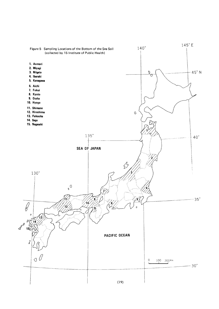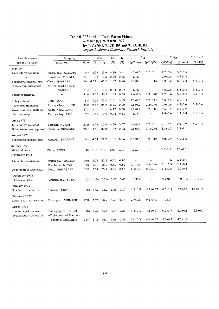### Table 6  $\frac{90}{2}$ Sr and  $\frac{137}{2}$ Cs in Marine hay 1971 to march 1972<br>by T. ASARI, M. CHIBA ar (Japan Analytical Chemistry Research Institute)

| Sample's name                   | Sampling                 |                  |             | Ash            | Ca          | K         | $90$ Sr        |                          | 137Cs         |                | $144$ (Ce+Pr)  |
|---------------------------------|--------------------------|------------------|-------------|----------------|-------------|-----------|----------------|--------------------------|---------------|----------------|----------------|
| (scientific name)               | Location                 | date             | %           | q              | (% )        | (% )      | (pCi/kg)       | (pCi/gCa)                | (pCi/kg)      | (pCi/qK)       | (pCi/kg)       |
| May 1971                        |                          |                  |             |                |             |           |                |                          |               |                |                |
| Limanda yokohamae               | Mutsu pay, AOMORI        |                  | 19th 2.99   | 29.9           | 0.69        | 0.11      | $1.1 \pm 0.5$  | $0.2 \pm 0.1$            | $4.2 \pm 0.6$ | $3.8 + 0.5$    |                |
| .,                              | Enoshima, MIYAGI         |                  | 25th 1.68   | 16.8           | 0.50        | 0.06      | <b>LTD</b>     | $\overline{\phantom{0}}$ | $2.9 \pm 0.5$ | $4.9 \pm 0.8$  |                |
| Sebastiscus marmoratus          | Oarai, IBARAKI           | 26th 4.52        |             | 45.2           | 1.53        | 0.10      | $1.7 \pm 0.3$  | $0.1 \pm 0.02$           | $6.2 \pm 0.8$ | $6.2 \pm 0.8$  | $4.3 \pm 0.4$  |
| Seriola quinqueradiata          | off the coast of Kuji,   |                  |             |                |             |           |                |                          |               |                |                |
|                                 | <b>IBARAKI</b>           |                  | $21st$ 1.75 | 17.5           | 0.54        | 0.07      | <b>LTD</b>     | $\overline{\phantom{0}}$ | $4.6 \pm 0.6$ | $6.5 \pm 0.8$  | $3.3 \pm 0.4$  |
| Sebastes schlegeli              | $\ddot{\phantom{0}}$     | 21.st            | 4.33        | 43.3           | 1.52        | 0.08      | $1.4 \pm 0.3$  | $0.9 \pm 0.02$           | $4.7 \pm 0.6$ | $5.9 \pm 0.8$  | $3.9 \pm 0.4$  |
| Sillago sihama                  | Chita, AICHI             | 6th              | 3.28        | 32.8           | 1.01        | 0.13      | $2.0 + 0.3$    | $0.2 \pm 0.03$           | $3.3 + 0.5$   | $2.5 \pm 0.4$  |                |
| Trachurus trachurus             | Tsuruga bay, FUKUI       | 24th             | 2.42        | 24.2           | 0.73        | 0.10      | $1.5 \pm 0.2$  | $0.2 \pm 0.03$           | $4.9 \pm 0.6$ | $4.9 \pm 0.6$  | $8.9 \pm 0.6$  |
| Argyrosomus argentatus          | Mogi, NAGASAKI           | 27th             | 2.41        | 24.1           | 0.77        | 0.08      | $1.2 \pm 0.2$  | $0.2 \pm 0.03$           | $4.3 \pm 0.7$ | $5.4 \pm 0.9$  |                |
| Octopus vulgaris                | Tsuruga bay, FUKUI       | 19 <sub>th</sub> | 1.48        | 10.0           | 0.04        | 0.13      | LTD            | $\overline{\phantom{0}}$ | $1.9 \pm 0.6$ | $1.4 \pm 0.4$  | $8.1 \pm 0.5$  |
| June 1971                       |                          |                  |             |                |             |           |                |                          |               |                |                |
| Limanda yokohamae               | Tateishi, FUKUI          | 21st             | 2.23        | 20.0           | 0.69        | 0.07      | $1.4 \pm 0.4$  | $0.2 \pm 0.1$            | $2.1 \pm 0.5$ | $2.9 + 0.7$    | $4.5 \pm 0.4$  |
| Halichoeres poecilopterus       | Kashima, SHIMANE         |                  | 26th 4.41   | 22.0           | 1.47        | 0.12      | $1.6 \pm 0.4$  | $0.1 \pm 0.03$           | $6.8 \pm 1.3$ | $5.7 \pm 1.1$  |                |
| August 1971                     |                          |                  |             |                |             |           |                |                          |               |                |                |
| Sebastiscus marmoratus          | Hamada, SHIMANE          |                  | 10th 4.54   | 22.7           | 1.57        | 0.06      | $3.5 \pm 0.6$  | $0.2 \pm 0.04$           | $3.0 \pm 0.9$ | $4.9 \pm 1.5$  |                |
|                                 |                          |                  |             |                |             |           |                |                          |               |                |                |
| October 19711                   | Chita, AICHI             |                  | 8th 3.15    | 31.5           | 1.00        | 0.10      | LTD            |                          | $2.8 \pm 0.5$ | $2.8 \pm 0.5$  |                |
| Sillago sihama<br>November 1971 |                          |                  |             |                |             |           |                |                          |               |                |                |
|                                 |                          |                  |             |                |             |           |                |                          |               |                |                |
| Limanda yokohamae               | Mutsu bay, AOMORI        |                  | 10th 2.28   | 22.8           | 0.71        | 0.10      | $\pmb{\cdots}$ |                          | $3.1 \pm 0.6$ | $3.1 \pm 0.6$  |                |
| $\ddot{\phantom{a}}$            | Enoshima, MIYAGI         |                  | 24th 2.80   | 28.0           | 0.82        | 0.13      | $2.1 \pm 0.4$  | $0.3 \pm 0.04$           | $2.1 \pm 0.5$ | $1.7 \pm 0.4$  |                |
| Argyrosomus argentatus          | Mogi, NAGASAKI           |                  | 12th 2.51   | 25.1           | 0.79        | 0.10      | $1.4 \pm 0.4$  | $0.2 + 0.1$              | $3.4 \pm 0.5$ | $3.4 \pm 0.5$  |                |
| December 1971                   |                          |                  |             |                |             |           |                |                          |               |                |                |
| Octpus vulgaris                 | Tsuruga bay, FUKUI       |                  | 10th 1.60   | 20.0           | 0.02        | 0.02      | <b>LTD</b>     |                          | $3.2 \pm 0.5$ | $16.2 \pm 2.3$ | $2.1 \pm 0.3$  |
| January 1972                    |                          |                  |             |                |             |           |                |                          |               |                |                |
| Trachurus trachurus             | Tsuruga, FUKUI           | 7th              | - 5.03      | 25.2           | 1.49        | 0.27      | $1.6 \pm 0.4$  | $0.1 \pm 0.03$           | $8.6 \pm 1.2$ | $3.2 \pm 0.4$  | $10.2 \pm 1.4$ |
| February 1972                   |                          |                  |             |                |             |           |                |                          |               |                |                |
| Sebastiscus marmoratus          | Mitsu port, SHIMANE      |                  |             | 17th 4.74 23.7 |             | 2.24 0.07 | $2.7 \pm 0.6$  | $0.1 \pm 0.03$           | LTD           |                |                |
|                                 |                          |                  |             |                |             |           |                |                          |               |                |                |
| March 1972<br>Limanda yokohamae | Tsuruqa port, FUKUI      |                  | 9th 3.33    | 33.3           | $1.07$ 0.26 |           | $1.4 \pm 0.3$  | $1.3 \pm 0.2$            | $5.2 \pm 0.7$ | $2.0 + 0.3$    | $3.9 \pm 0.4$  |
| Sebastiscus marmoratus          | off the coast of Mannen- |                  |             |                |             |           |                |                          |               |                |                |
|                                 | gahama, SHIMANE          |                  | 23rd 5.19   | 26.0           | 2.46        | 0.08      | $2.0 \pm 0.5$  | $0.1 \pm 0.02$           | $3.3 \pm 0.9$ | $4.2 \pm 1.1$  |                |
|                                 |                          |                  |             |                |             |           |                |                          |               |                |                |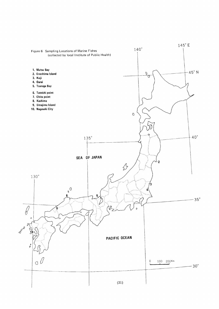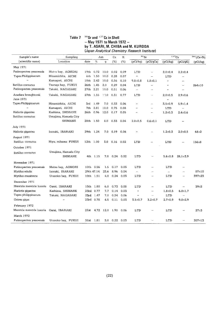### Table 7 90 Sr and 137 Cs in Shell  $\frac{m}{2}$  -  $\frac{m}{2}$  -  $\frac{m}{2}$ by T. ASARI, M. CHIBA an (Japan Analytical Chemistry Research Institute)

| Sample's name             | Sampling             |      |            | Ash  | Ca   | K           |                      | $90$ Sr                  |                            | 137Cs                    | $144 (Ce+Pr)$ |
|---------------------------|----------------------|------|------------|------|------|-------------|----------------------|--------------------------|----------------------------|--------------------------|---------------|
| (scientific name)         | Location             | date | %          | g    | (%)  | (%)         | (pCi/kg)             | (pCi/gCa)                | (pCi/kg)                   | (pCi/gK)                 | (pCi/kg)      |
| May 1971                  |                      |      |            |      |      |             |                      |                          |                            |                          |               |
| Patinopecten yessoensis   | Mutsu bay, AOMORI    |      | 19th 0.72  | 10.0 | 0.02 | 0.09        | <b>LTD</b>           | $\equiv$                 | $2.0 \pm 0.4$              | $2.2 \pm 0.4$            |               |
| Tapes Philippinarum       | Minamichita, AICHI   |      | 6th 1.50   | 10.0 | 0.28 | 0.07        | $\pmb{\cdot}$        | $\overline{\phantom{0}}$ | LTD                        | $\overline{a}$           |               |
| $\ddot{\phantom{a}}$      | Kamagori, AICHI      |      | 10th 2.42  | 10.0 | 0.56 | 0.10        | $9.8 \pm 0.8$        | $1.8 \pm 0.1$            | $\mathbf{r}$               |                          |               |
| Batillus cornutus         | Tsuruqa bay, FUKUI   |      | 26th 1.45  | 2.0  | 0.29 | 0.04        | <b>LTD</b>           |                          | $\pmb{\cdot}$              |                          | $264 \pm 10$  |
| Patinopecten yessoensis   | Takaki, NAGASAKI     | 27th | 2.21       | 10.0 | 0.51 | 0.06        | $\alpha$             | $\sim$                   | $\pmb{\cdot}$              | $\overline{\phantom{0}}$ |               |
| Anadara broughtonii       | Takaki, NAGASAKI     |      | 27th 1,55  | 12.0 | 0.31 | 0.77        | <b>LTD</b>           | $\sim$                   | $2.0 \pm 0.5$              | $2.9 \pm 0.6$            |               |
| June 1971                 |                      |      |            |      |      |             |                      |                          | $\mathbf{r}$               |                          |               |
| Tapes Philippinarum       | Minamichita, AICHI   | 3rd  | 1.49       | 7.0  | 0.33 | 0.06        | $\pmb{\cdot}$        | $\overline{\phantom{0}}$ | $3.5 \pm 0.9$              | $5.9 \pm 1.4$            |               |
| $\ddot{\phantom{1}}$      | Kamaqori, AICHI      | 7th  | 2.81       | 10.0 | 0.75 | 0.08        | $\bar{\mathbf{r}}$   | $\overline{\phantom{0}}$ | <b>LTD</b>                 |                          |               |
| Haliotis gigantea         | Kashima, SHIMANE     | 26th | 0.96       | 12.0 | 0.17 | 0.05        | $\pmb{\cdot}$        |                          | $1.2 + 0.3$                | $2.4 \pm 0.6$            |               |
| Batillus cornutus         | Umajima, Hamada City |      |            |      |      |             |                      |                          |                            |                          |               |
|                           | <b>SHIMANE</b>       |      | 28th 1.50  | 8.0  | 0.33 | 0.04        | $2.0 \pm 0.5$        | $0.6 \pm 0.1$            | LTD                        |                          |               |
| July 1971                 |                      |      |            |      |      |             |                      |                          |                            |                          |               |
| Haliotis gigantea         | Isozaki, IBARAKI     |      | 29th 1,24  | 7.0  | 0.19 | 0.06        | $\cdot$              |                          | $1.2 \pm 0.3$              | $2.0 + 0.5$              | $68 + 2$      |
| August 1971               |                      |      |            |      |      |             |                      |                          |                            |                          |               |
| Batillus cornutus         | Niyu, mihama FUKUI   |      | 12th 1.00  | 3.0  | 0.16 | 0.02        | <b>LTD</b>           |                          | LTD                        |                          | $156 \pm 8$   |
| October 1971              |                      |      |            |      |      |             |                      |                          |                            |                          |               |
| Batillus cornutus         | Umajima, Hamada City |      |            |      |      |             |                      |                          |                            |                          |               |
|                           | <b>SHIMANE</b>       |      | 4th 1.15   | 7.0  | 0.24 | 0.02        | <b>LTD</b>           |                          | $5.6 \pm 0.8$              | $28.1 \pm 3.9$           |               |
| November 1971             |                      |      |            |      |      |             |                      |                          |                            |                          |               |
| Patinopecten yessoensis   | Mutsu bay, AOMORI    |      | 10th 0.56  | 1.5  | 0.17 | 0.03        | LTD                  |                          | LTD                        | -                        |               |
| Mytilus edulis            | Isozaki, IBARAKI     |      | 29th 47.14 | 23.6 | 8.96 | 0.04        | $\bar{\epsilon}$     |                          | $\mathcal{L}(\mathcal{L})$ |                          | $07+10$       |
| Mytilus crassitesta       | Urazoko bay, FUKUI   |      | 10th 1.51  | 4.0  | 0.24 | 0.03        | <b>LTD</b>           | —                        | LTD                        | $\overline{\phantom{0}}$ | $397 \pm 23$  |
| December 1971             |                      |      |            |      |      |             |                      |                          |                            |                          |               |
| Meretrix meretrix lusoria | Oarai, IBARAKI       |      | 15th 1.80  | 6.0  | 0.73 | 0.08        | LTD                  | $\overline{\phantom{0}}$ | LTD                        | $\overline{\phantom{0}}$ | 39±3          |
| Hariotis gigantea         | Kashima, SHIMANE     |      | 23rd 0.77  | 7.7  | 0.14 | 0.03        | $\ddot{\phantom{a}}$ | $\overline{\phantom{0}}$ | $1.8 + 0.5$                | $6.0 \pm 1.7$            |               |
| Tapes philippinarum       | Takaki, NAGASAKI     |      | 23rd 1.47  | 7.0  | 0.34 | 0.06        | $\ddot{\phantom{0}}$ | ÷,                       | LTD                        | $\overline{\phantom{0}}$ |               |
| Ostrea gigas              | $\cdot$              |      | 23rd 0.78  | 4.5  | 0.11 | 0.03        | $3.5 \pm 0.7$        | $3.2 \pm 0.7$            | $2.7 \pm 0.9$              | $9.0 \pm 2.9$            |               |
| February 1972             |                      |      |            |      |      |             |                      |                          |                            |                          |               |
| Meretrix meretrix lusoria | Oarai, IBARAKI       | 21st | 4.72       | 12.0 | 1.90 | 0.06        | LTD                  |                          | LTD                        |                          | $27 + 3$      |
| March 1972                |                      |      |            |      |      |             |                      |                          |                            |                          |               |
| Patinopecten yessoensis   | Urazoko bay, FUKUI   |      | 31st 1.81  | 3.0  |      | $0.22$ 0.03 | LTD                  | --                       | LTD                        |                          | $207 \pm 13$  |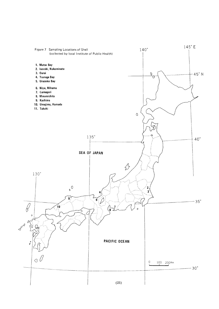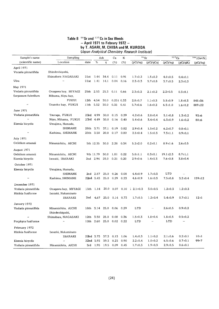### Table 8  $\frac{90}{8}$ Sr and  $\frac{13}{8}$ Cs in Sea -Apri11971toFebrury1972- byT.ASARI.M.CHIBAandM.KURODA (Japan Analytical Chemistry Research Institute)

| Sample's name       | Sampling            |        |           | Ash  | Ca                       | K    | $90$ Sr       |               | 137Cs          |               | $144$ (Ce+Pr) |
|---------------------|---------------------|--------|-----------|------|--------------------------|------|---------------|---------------|----------------|---------------|---------------|
| (scientific name)   | Location            | date   | ℅         | g    | (%)                      | (%)  | (pCi/kg)      | (pCi/gCa)     | (pCi/kg)       | (pCi/qK)      | (pCi/kg)      |
| April 1971          |                     |        |           |      |                          |      |               |               |                |               |               |
| Vncaria pinnatifida | Shindenhigashi,     |        |           |      |                          |      |               |               |                |               |               |
|                     | Shimabara NAGASAKI  | 21st   | 3.44      | 34.4 | 0.11                     | 0.91 | $1.7 \pm 0.2$ | $1.5 \pm 0.2$ | $4.0 \pm 0.5$  | $0.4 \pm 0.1$ |               |
| Ulva                | .,                  | 2 l st | 1.41 14.1 |      | 0.04                     | 0.16 | $2.3 \pm 0.3$ | $5.7 \pm 0.8$ | $3.7 \pm 0.5$  | $2.3 \pm 0.3$ |               |
| May 1971            |                     |        |           |      |                          |      |               |               |                |               |               |
| Vndaria pinnatifida | Onagawa bay, MIYAGI |        | 25th 2.53 | 25.3 | 0.11                     | 0.66 | $2.3 \pm 0.3$ | $2.1 \pm 0.2$ | $2.2 \pm 0.5$  | $0.3 \pm 0.1$ |               |
| Sargassum fulvellum | Mihama, Niyu bay,   |        |           |      |                          |      |               |               |                |               |               |
|                     | FUKUI               | 12th   | 4.54      | 30.0 | $0.251$ $0.33$           |      | $2.8 \pm 0.7$ | $1.1 \pm 0.3$ | $5.8 \pm 0.9$  | $1.8 \pm 0.3$ | 845±36        |
| ,,                  | Urazoko bay,FUKUI   |        | 11th 5.52 | 30.0 | 0.35                     | 0.41 | $5.7 \pm 0.6$ | $1.6 \pm 0.2$ | $6.5 + 1.0$    | $1.6 \pm 0.2$ | 889±22        |
| June 1971           |                     |        |           |      |                          |      |               |               |                |               |               |
| Vndaria pinnatifida | Tsuruqa, FUKUI      |        | 23rd 4.99 | 30.0 | 0.15                     | 0.39 | $4.2 \pm 0.6$ | $2.8 \pm 0.4$ | $5.1 \pm 0.8$  | $1.3 \pm 0.2$ | $93 + 6$      |
| ,,                  | Niyu, Mihama, FUKUI |        | 23rd 4.49 | 30.0 | 0.16                     | 0.40 | $5.4 \pm 0.6$ | $3.4 \pm 0.4$ | $6.3 + 0.9$    | $1.6 \pm 0.2$ | $80 + 6$      |
| Eisenia bicyclis    | Umajima, Hamada,    |        |           |      |                          |      |               |               |                |               |               |
|                     | SHIMANE             |        | 28th 3.71 | 37.1 | 0.19                     | 0.82 | $2.9 \pm 0.4$ | $1.5 \pm 0.2$ | $6.2 \pm 0.7$  | $0.8 \pm 0.1$ |               |
| $\pmb{\cdot}$       | Kashima, SHIMANE    | 25th   | 3.50      | 20.0 | 0.17                     | 0.80 | $2.5 \pm 0.4$ | $1.5 \pm 0.3$ | $7.3 + 1.1$    | $0.9 + 0.1$   |               |
| July 1971           |                     |        |           |      |                          |      |               |               |                |               |               |
| Gelidium amansii    | Minamichita, AICHI  |        | 5th 12.35 | 30.0 | 2.28                     | 0.34 | $5.2 \pm 2.0$ | $0.2 \pm 0.1$ | $8.9 \pm 1.6$  | $2.6 \pm 0.5$ |               |
| August 1971         |                     |        |           |      |                          |      |               |               |                |               |               |
| Gelidium amansii    | Minamichita, AICHI  |        | 9th 11.79 | 30.0 | 1.81                     | 0.22 | $5.8 \pm 1.1$ | $0.3 \pm 0.1$ | $19.1 \pm 2.3$ | $8.7 \pm 1.1$ |               |
| Eisenia bicyclis    | Isozaki, IBARAKI    |        | 2nd 2.94  | 25.0 | 0.21                     | 0.20 | $2.9 \pm 0.6$ | $1.4 \pm 0.3$ | $7.6 \pm 0.8$  | $3.8 \pm 0.4$ |               |
| October 1971        |                     |        |           |      |                          |      |               |               |                |               |               |
| Eisenia bicyclis    | Umajima, Hamada,    |        |           |      |                          |      |               |               |                |               |               |
|                     | SHIMANE             |        | 2nd 2.87  | 25.0 | 0.26                     | 0.08 | $4.4 \pm 0.9$ | $1.7 \pm 0.3$ | LTD            |               |               |
| $\pmb{\cdot}$       | Kashima, SHIMANE    |        | 22nd 3.43 | 25.0 | 0.29                     | 0.23 | $4.6 \pm 0.9$ | $1.6 \pm 0.3$ | $7.5 \pm 0.8$  | $3.2 \pm 0.4$ | $159 + 12$    |
| December 1971       |                     |        |           |      |                          |      |               |               |                |               |               |
| Vndaria pinnatifida | Onagawa bay, MIYAGI |        | 15th 1.14 |      | 20.0 0.07                | 0.10 | $2.1 \pm 0.3$ | $3.0 \pm 0.5$ | $1.2 \pm 0.3$  | $1.2 \pm 0.3$ |               |
| Hizikia fusiforme   | Isozaki, Nakaminato |        |           |      |                          |      |               |               |                |               |               |
|                     | IBARAKI             | 2nd    | 4.67      | 25.0 | $0.14$ 0.73              |      | $1.7 \pm 0.5$ | $1.2 \pm 0.4$ | $5.4 \pm 0.9$  | $0.7 \pm 0.1$ | 12±1          |
| January 1972        |                     |        |           |      |                          |      |               |               |                |               |               |
| Vndaria pinnatifida | Minamichita, AICHI  | 18th   | 3.14      | 25.0 | 0.06                     | 0.29 | LTD           |               | $2.6 \pm 0.5$  | $0.9 + 0.2$   |               |
|                     | Shindenhiqashi,     |        |           |      |                          |      |               |               |                |               |               |
| $\bullet$           | Shimabara, NAGASAKI |        | 12th 3.50 | 25.0 | 0.08                     | 0.36 | $1.5 \pm 0.3$ | $1.8 \pm 0.4$ | $1.8 + 0.5$    | $0.5 \pm 0.2$ |               |
| Porphyra fusiforme  | $\pmb{\cdot}$       |        |           |      | 12th 2.60 25.0 0.02 0.22 |      | LTD           |               | LTD            |               |               |
| February 1972       |                     |        |           |      |                          |      |               |               |                |               |               |
| Hizikia fusiforme   | Isoazki, Nakaminato |        |           |      |                          |      |               |               |                |               |               |
|                     | IBARAKI             |        |           |      | 22nd 3.73 37.3 0.13 1.06 |      | $1.4 \pm 0.3$ | $1.1 \pm 0.2$ | $2.1 \pm 0.6$  | $0.2 \pm 0.1$ | 10±1          |
| Eisenia bicyclis    | $\pmb{\cdot}$       |        | 22nd 3.93 | 39.3 | 0.23                     | 0.90 | $2.2 \pm 0.4$ | $1.0 \pm 0.2$ | $6.5 \pm 0.6$  | $0.7 \pm 0.1$ | $99 + 7$      |
| Vndaria pinnatifida | Minamichita, AICHI  |        |           |      | 3rd 1.95 19.5 0.09       | 0.45 | $1.7 \pm 0.3$ | $1.9 \pm 0.3$ | $2.9 \pm 0.5$  | $0.6 \pm 0.1$ |               |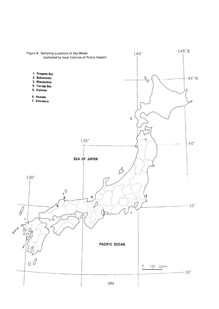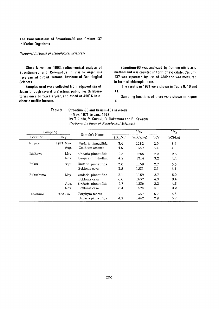### The Concentrations of Strontium-90 and Cesium-137 in Marine Organisms

#### (National Institute of Radiological Sciences)

Since November 1963, radiochemical analysis of Strontium-90 and Cesium-137 in marine organisms have carried out at National Institute of Radiological Sciences.

Samples used were collected from adjacent sea of Japan through several prefectural public health laboratories once or twice a year, and ashed at 450°C in a. electric muffle furnace.

Strontium-90 was analyzed by fuming nitric acid method and was counted in form of Y-oxalate. Cesium-137 was separated by use of AMP and was measured in form of chloroplatinate.

The results in 1971 were shown in Table 9, 10 and 11.

Sampling locations of these were shown in Figure  $9<sub>1</sub>$ 

Table 9

Strontium-90 and Cesium-137 in weeds  $-$  May, 1971 to Jan., 1972  $$ by T. Ueda, Y. Suzuki, R. Nakamura and E. Kawachi (National Institute of Radiological Sciences)

| Sampling  |           |                     |          | $90$ Sr   |               | 137Cs    |  |
|-----------|-----------|---------------------|----------|-----------|---------------|----------|--|
| Location  | Day       | Sample's Name       | (pCi/kg) | (mqCa/kg) | (gCa)         | (pCi/kq) |  |
| Niigata   | 1971 May  | Undaria pinnatifida | 3.4      | 1182      | 2.9           | 5.4      |  |
|           | Aug.      | Gelidium amansii    | 4.6      | 1359      | 3.4           | 4.8      |  |
| Ishikawa  | May       | Undaria pinnatifida | 2.8      | 1265      | $2.2^{\circ}$ | 2.6      |  |
|           | Nov.      | Sargassum fulvellum | 4.2      | 1314      | 3.2           | 4.4      |  |
| Fukui     | Sept.     | Undaria pinnatifida | 3.8      | 1159      | 2.7           | 5.0      |  |
|           |           | Ecklonia cava       | 3.8      | 1231      | 3.1           | 6.1      |  |
| Fukushima | May       | Undaria pinnatifida | 3.1      | 1159      | 2.7           | 5.0      |  |
|           |           | Ecklonia cava       | 6.6      | 1637      | 4.0           | 8.4      |  |
|           | Aug.      | Undaria pinnatifida | 2.7      | 1236      | $2.2\,$       | 4.3      |  |
|           | Nov.      | Ecklonia cava       | 6.4      | 1574      | 4.1           | 10.2     |  |
| Hiroshima | 1972 Jan. | Porphyra tenera     | 2.1      | 367       | 5.7           | 3.6      |  |
|           |           | Undaria pinnatifida | 4.2      | 1442      | 2.9           | 5.7      |  |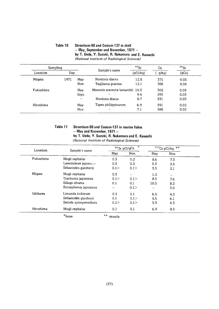### Table 10 Strontium-90 and Cesium-137 in shell  $-$  May, September and November, 1971  $$ by T. Ueda, Y. Suzuki, R. Nakamura and E. Kawachi (National Institute of Radiological Sciences)

| Sampling<br>Location<br>Day |      |               |                                  | $90$ <sub>Sr</sub> | Ca    | $90$ Sr |
|-----------------------------|------|---------------|----------------------------------|--------------------|-------|---------|
|                             |      | Sample's name | (pCi/kg)                         | g/kg)              | (gCa) |         |
| Niigata                     | 1971 | May           | Nordotis discus                  | 12.8               | 371   | 0.03    |
|                             |      | Nov.          | Tegillarca granosa               | 12.1               | 306   | 0.04    |
| Fukushima                   |      | May           | Meretrix meretrix lamarckii 10.3 |                    | 302   | 0.03    |
|                             |      | Sept.         | $^{\prime}$                      | 9.4                | 293   | 0.03    |
|                             |      | $\cdots$      | Nordotis discus                  | 8.7                | 331   | 0.03    |
| Hiroshima                   |      | May           | Tapes philippinarum              | 6.9                | 391   | 0.02    |
|                             |      | Nov.          | $^{\prime}$                      | 7.1                | 388   | 0.02    |

### Table 11 Strontium-90 and Cesium-137 in marine fishes  $-$  May and November, 1971  $$ by T. Ueda, Y. Suzuki, R. Nakamura and E. Kawachi

(National Institute of Radiological Sciences)

| Location  | Sample's name          |                 | $\star$<br>90 Sr pCi/gCa |      | $137Cs$ pCi/kg<br>$\star\star$ |
|-----------|------------------------|-----------------|--------------------------|------|--------------------------------|
|           |                        | May             | Nov.                     | May  | Nov.                           |
| Fukushima | Mugil caphalus         | 0.3             | 0.2                      | 8.6  | 7.3                            |
|           | Lateolabrax japonicus  | 0.3             | 0.2                      | 5.3  | 2.5                            |
|           | Sebastodes güntherii   | 0.1             | 0.1                      | 3.5  | 2.1                            |
| Niigata   | Mugil cephalus         | 0.3             | -                        | 1.2  |                                |
|           | Trachurus japonicus    | 0.1             | 0.1                      | 8.5  | 7.6                            |
|           | Sillago sihama         | 0.1             | 0.1                      | 10.5 | 8.2                            |
|           | Entosphenus japonicus  |                 | 0.1                      |      | 3.0                            |
| Ishikawa  | Limanda irrdorum       | 0.2             | 0.1                      | 6.5  | 4.3                            |
|           | Sebastodes güntherii   | 0.1             | 0.1                      | 5.5  | 6.1                            |
|           | Seriola quinqueradiata | 0.1             | 0.1                      | 3.9  | 4.3                            |
| Hiroshima | Mugil cephalus         | 0.1             | 0.1                      | 6.9  | 8.5                            |
|           | $*_{\text{bone}}$      | $***$<br>muscle |                          |      |                                |